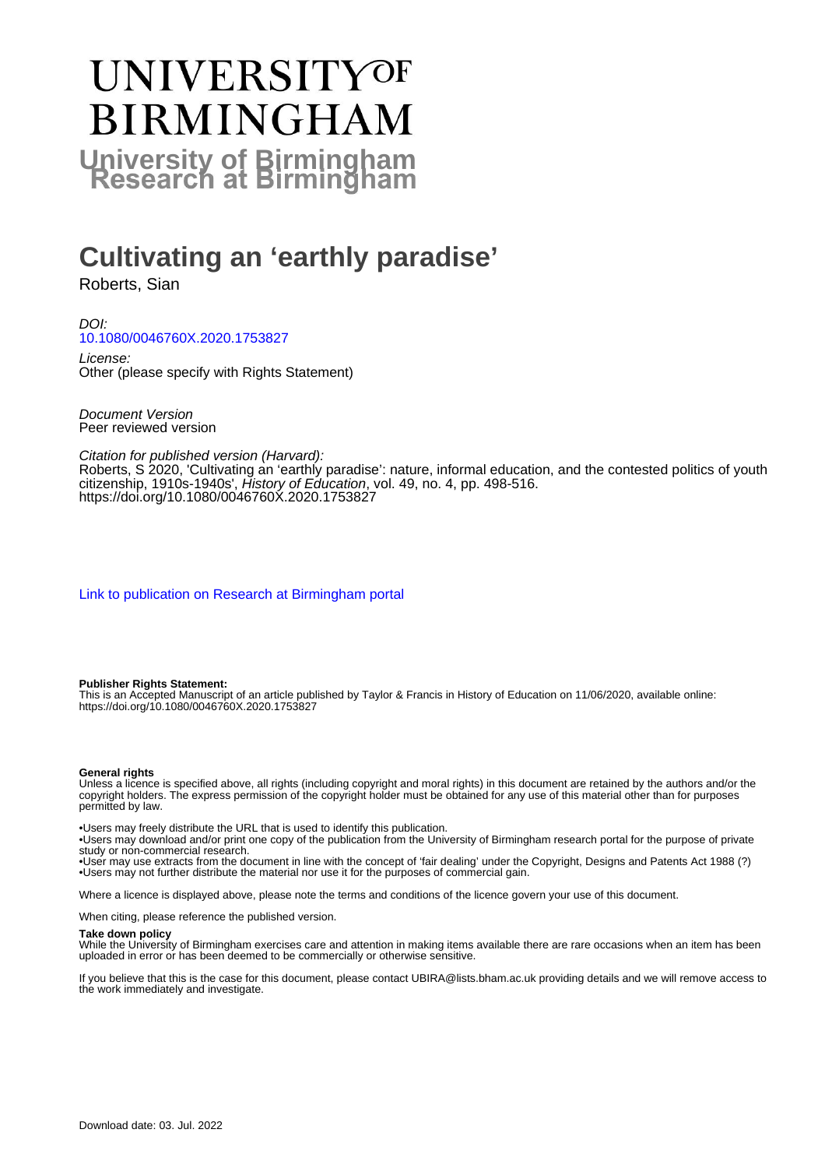# UNIVERSITYOF **BIRMINGHAM University of Birmingham**

# **Cultivating an 'earthly paradise'**

Roberts, Sian

DOI: [10.1080/0046760X.2020.1753827](https://doi.org/10.1080/0046760X.2020.1753827)

License: Other (please specify with Rights Statement)

Document Version Peer reviewed version

Citation for published version (Harvard): Roberts, S 2020, 'Cultivating an 'earthly paradise': nature, informal education, and the contested politics of youth citizenship, 1910s-1940s', History of Education, vol. 49, no. 4, pp. 498-516. <https://doi.org/10.1080/0046760X.2020.1753827>

[Link to publication on Research at Birmingham portal](https://birmingham.elsevierpure.com/en/publications/d3b5e58d-8c1b-4ab3-b2e1-742ea34bdc3e)

#### **Publisher Rights Statement:**

This is an Accepted Manuscript of an article published by Taylor & Francis in History of Education on 11/06/2020, available online: https://doi.org/10.1080/0046760X.2020.1753827

#### **General rights**

Unless a licence is specified above, all rights (including copyright and moral rights) in this document are retained by the authors and/or the copyright holders. The express permission of the copyright holder must be obtained for any use of this material other than for purposes permitted by law.

• Users may freely distribute the URL that is used to identify this publication.

• Users may download and/or print one copy of the publication from the University of Birmingham research portal for the purpose of private study or non-commercial research.

• User may use extracts from the document in line with the concept of 'fair dealing' under the Copyright, Designs and Patents Act 1988 (?) • Users may not further distribute the material nor use it for the purposes of commercial gain.

Where a licence is displayed above, please note the terms and conditions of the licence govern your use of this document.

When citing, please reference the published version.

#### **Take down policy**

While the University of Birmingham exercises care and attention in making items available there are rare occasions when an item has been uploaded in error or has been deemed to be commercially or otherwise sensitive.

If you believe that this is the case for this document, please contact UBIRA@lists.bham.ac.uk providing details and we will remove access to the work immediately and investigate.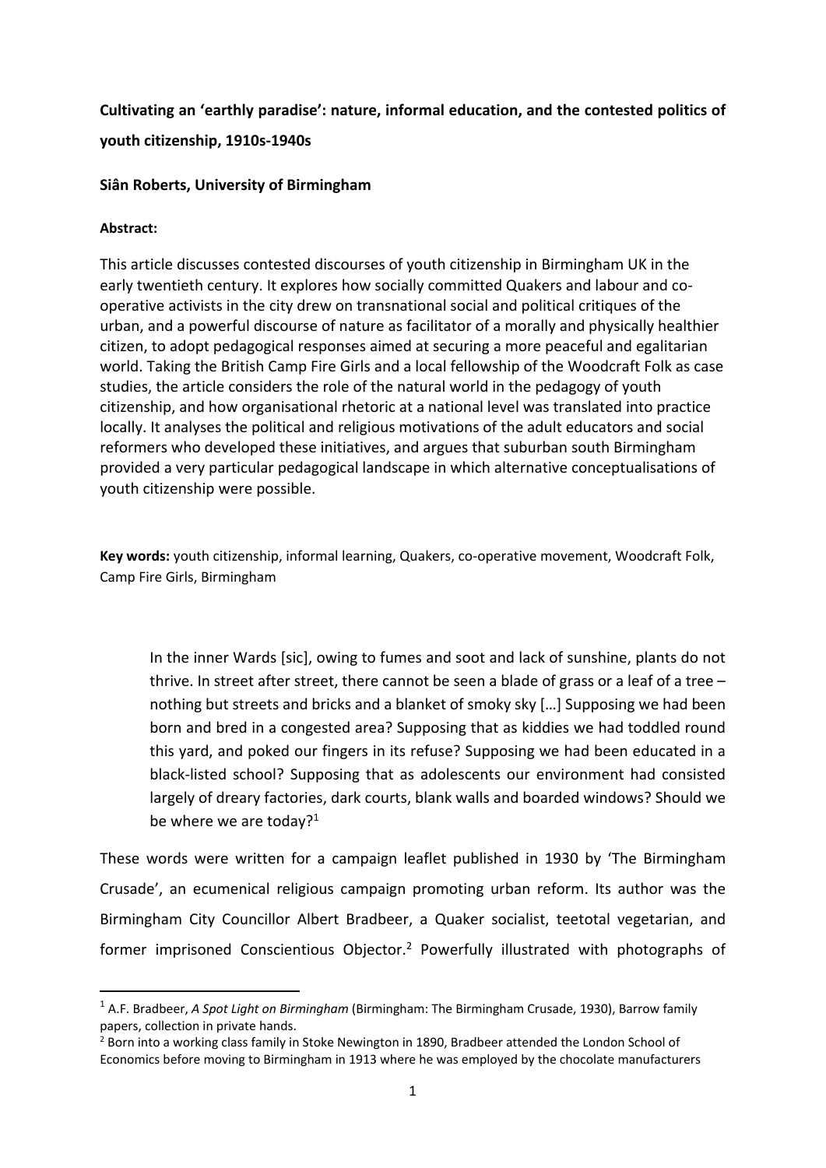# **Cultivating an 'earthly paradise': nature, informal education, and the contested politics of**

#### **youth citizenship, 1910s‐1940s**

## **Siân Roberts, University of Birmingham**

## **Abstract:**

This article discusses contested discourses of youth citizenship in Birmingham UK in the early twentieth century. It explores how socially committed Quakers and labour and co‐ operative activists in the city drew on transnational social and political critiques of the urban, and a powerful discourse of nature as facilitator of a morally and physically healthier citizen, to adopt pedagogical responses aimed at securing a more peaceful and egalitarian world. Taking the British Camp Fire Girls and a local fellowship of the Woodcraft Folk as case studies, the article considers the role of the natural world in the pedagogy of youth citizenship, and how organisational rhetoric at a national level was translated into practice locally. It analyses the political and religious motivations of the adult educators and social reformers who developed these initiatives, and argues that suburban south Birmingham provided a very particular pedagogical landscape in which alternative conceptualisations of youth citizenship were possible.

Key words: youth citizenship, informal learning, Quakers, co-operative movement, Woodcraft Folk, Camp Fire Girls, Birmingham

In the inner Wards [sic], owing to fumes and soot and lack of sunshine, plants do not thrive. In street after street, there cannot be seen a blade of grass or a leaf of a tree – nothing but streets and bricks and a blanket of smoky sky […] Supposing we had been born and bred in a congested area? Supposing that as kiddies we had toddled round this yard, and poked our fingers in its refuse? Supposing we had been educated in a black‐listed school? Supposing that as adolescents our environment had consisted largely of dreary factories, dark courts, blank walls and boarded windows? Should we be where we are today?<sup>1</sup>

These words were written for a campaign leaflet published in 1930 by 'The Birmingham Crusade', an ecumenical religious campaign promoting urban reform. Its author was the Birmingham City Councillor Albert Bradbeer, a Quaker socialist, teetotal vegetarian, and former imprisoned Conscientious Objector.<sup>2</sup> Powerfully illustrated with photographs of

<sup>1</sup> A.F. Bradbeer, *A Spot Light on Birmingham* (Birmingham: The Birmingham Crusade, 1930), Barrow family papers, collection in private hands.

<sup>&</sup>lt;sup>2</sup> Born into a working class family in Stoke Newington in 1890, Bradbeer attended the London School of Economics before moving to Birmingham in 1913 where he was employed by the chocolate manufacturers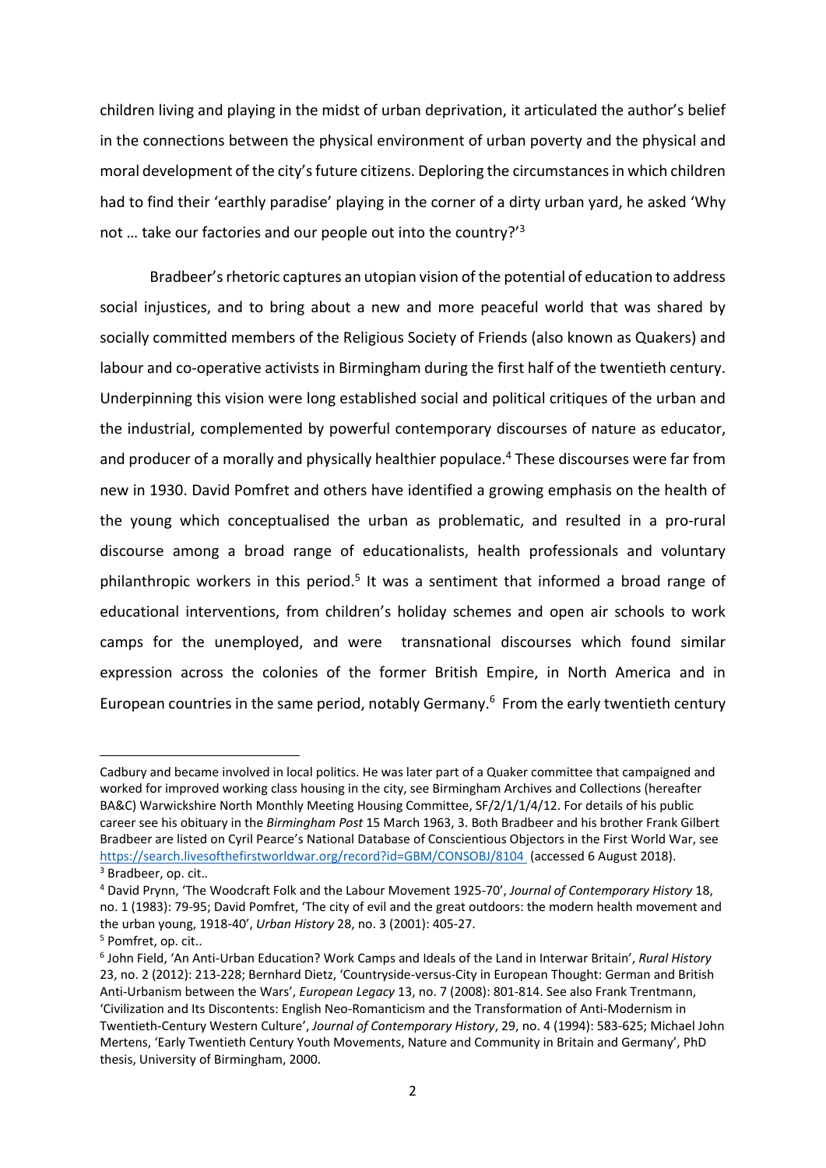children living and playing in the midst of urban deprivation, it articulated the author's belief in the connections between the physical environment of urban poverty and the physical and moral development of the city's future citizens. Deploring the circumstances in which children had to find their 'earthly paradise' playing in the corner of a dirty urban yard, he asked 'Why not … take our factories and our people out into the country?'3

 Bradbeer's rhetoric captures an utopian vision of the potential of education to address social injustices, and to bring about a new and more peaceful world that was shared by socially committed members of the Religious Society of Friends (also known as Quakers) and labour and co-operative activists in Birmingham during the first half of the twentieth century. Underpinning this vision were long established social and political critiques of the urban and the industrial, complemented by powerful contemporary discourses of nature as educator, and producer of a morally and physically healthier populace.<sup>4</sup> These discourses were far from new in 1930. David Pomfret and others have identified a growing emphasis on the health of the young which conceptualised the urban as problematic, and resulted in a pro‐rural discourse among a broad range of educationalists, health professionals and voluntary philanthropic workers in this period.<sup>5</sup> It was a sentiment that informed a broad range of educational interventions, from children's holiday schemes and open air schools to work camps for the unemployed, and were transnational discourses which found similar expression across the colonies of the former British Empire, in North America and in European countries in the same period, notably Germany. $6$  From the early twentieth century

Cadbury and became involved in local politics. He was later part of a Quaker committee that campaigned and worked for improved working class housing in the city, see Birmingham Archives and Collections (hereafter BA&C) Warwickshire North Monthly Meeting Housing Committee, SF/2/1/1/4/12. For details of his public career see his obituary in the *Birmingham Post* 15 March 1963, 3. Both Bradbeer and his brother Frank Gilbert Bradbeer are listed on Cyril Pearce's National Database of Conscientious Objectors in the First World War, see https://search.livesofthefirstworldwar.org/record?id=GBM/CONSOBJ/8104 (accessed 6 August 2018).

<sup>3</sup> Bradbeer, op. cit.*.*

<sup>4</sup> David Prynn, 'The Woodcraft Folk and the Labour Movement 1925‐70', *Journal of Contemporary History* 18, no. 1 (1983): 79‐95; David Pomfret, 'The city of evil and the great outdoors: the modern health movement and the urban young, 1918‐40', *Urban History* 28, no. 3 (2001): 405‐27.

<sup>5</sup> Pomfret, op. cit..

<sup>6</sup> John Field, 'An Anti‐Urban Education? Work Camps and Ideals of the Land in Interwar Britain', *Rural History* 23, no. 2 (2012): 213‐228; Bernhard Dietz, 'Countryside‐versus‐City in European Thought: German and British Anti‐Urbanism between the Wars', *European Legacy* 13, no. 7 (2008): 801‐814. See also Frank Trentmann, 'Civilization and Its Discontents: English Neo‐Romanticism and the Transformation of Anti‐Modernism in Twentieth‐Century Western Culture', *Journal of Contemporary History*, 29, no. 4 (1994): 583‐625; Michael John Mertens, 'Early Twentieth Century Youth Movements, Nature and Community in Britain and Germany', PhD thesis, University of Birmingham, 2000.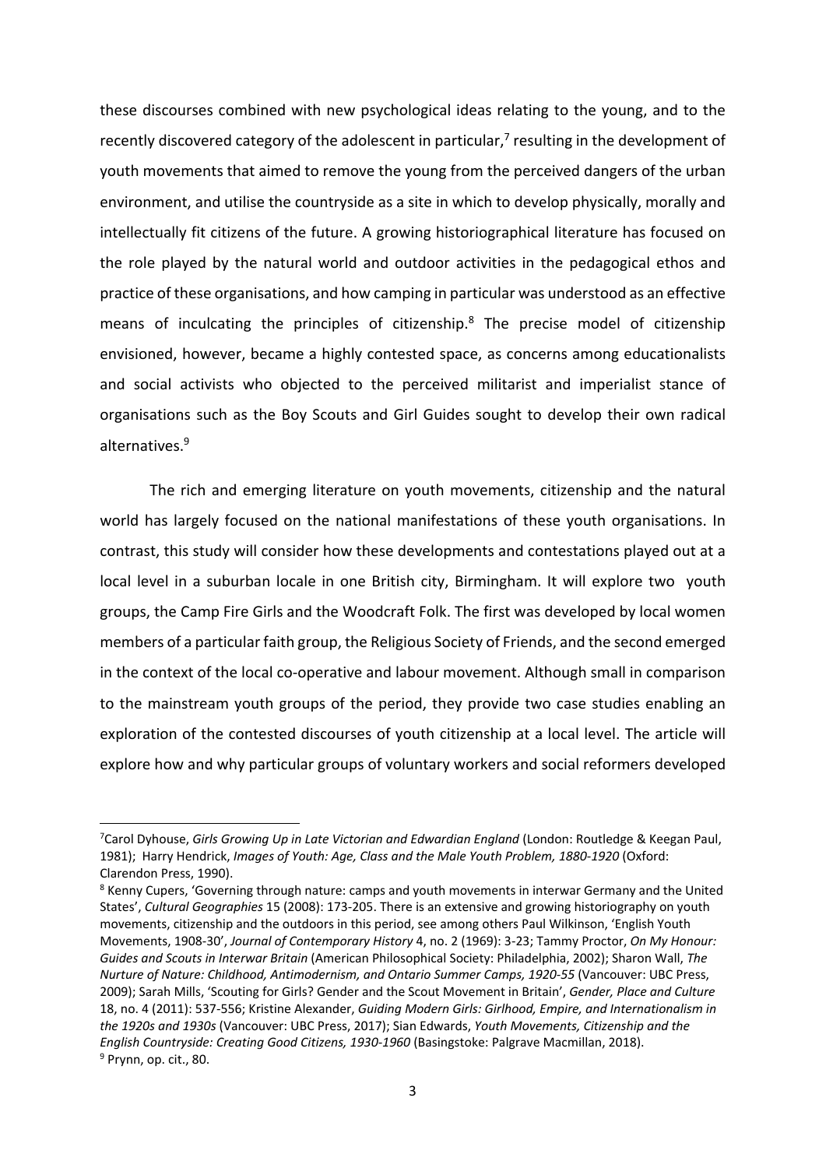these discourses combined with new psychological ideas relating to the young, and to the recently discovered category of the adolescent in particular,<sup>7</sup> resulting in the development of youth movements that aimed to remove the young from the perceived dangers of the urban environment, and utilise the countryside as a site in which to develop physically, morally and intellectually fit citizens of the future. A growing historiographical literature has focused on the role played by the natural world and outdoor activities in the pedagogical ethos and practice of these organisations, and how camping in particular was understood as an effective means of inculcating the principles of citizenship.<sup>8</sup> The precise model of citizenship envisioned, however, became a highly contested space, as concerns among educationalists and social activists who objected to the perceived militarist and imperialist stance of organisations such as the Boy Scouts and Girl Guides sought to develop their own radical alternatives.<sup>9</sup>

The rich and emerging literature on youth movements, citizenship and the natural world has largely focused on the national manifestations of these youth organisations. In contrast, this study will consider how these developments and contestations played out at a local level in a suburban locale in one British city, Birmingham. It will explore two youth groups, the Camp Fire Girls and the Woodcraft Folk. The first was developed by local women members of a particular faith group, the Religious Society of Friends, and the second emerged in the context of the local co-operative and labour movement. Although small in comparison to the mainstream youth groups of the period, they provide two case studies enabling an exploration of the contested discourses of youth citizenship at a local level. The article will explore how and why particular groups of voluntary workers and social reformers developed

<sup>7</sup> Carol Dyhouse, *Girls Growing Up in Late Victorian and Edwardian England* (London: Routledge & Keegan Paul, 1981); Harry Hendrick, *Images of Youth: Age, Class and the Male Youth Problem, 1880‐1920* (Oxford: Clarendon Press, 1990).

<sup>&</sup>lt;sup>8</sup> Kenny Cupers, 'Governing through nature: camps and youth movements in interwar Germany and the United States', *Cultural Geographies* 15 (2008): 173‐205. There is an extensive and growing historiography on youth movements, citizenship and the outdoors in this period, see among others Paul Wilkinson, 'English Youth Movements, 1908‐30', *Journal of Contemporary History* 4, no. 2 (1969): 3‐23; Tammy Proctor, *On My Honour: Guides and Scouts in Interwar Britain* (American Philosophical Society: Philadelphia, 2002); Sharon Wall, *The Nurture of Nature: Childhood, Antimodernism, and Ontario Summer Camps, 1920‐55* (Vancouver: UBC Press, 2009); Sarah Mills, 'Scouting for Girls? Gender and the Scout Movement in Britain', *Gender, Place and Culture* 18, no. 4 (2011): 537‐556; Kristine Alexander, *Guiding Modern Girls: Girlhood, Empire, and Internationalism in the 1920s and 1930s* (Vancouver: UBC Press, 2017); Sian Edwards, *Youth Movements, Citizenship and the English Countryside: Creating Good Citizens, 1930‐1960* (Basingstoke: Palgrave Macmillan, 2018). <sup>9</sup> Prynn, op. cit., 80.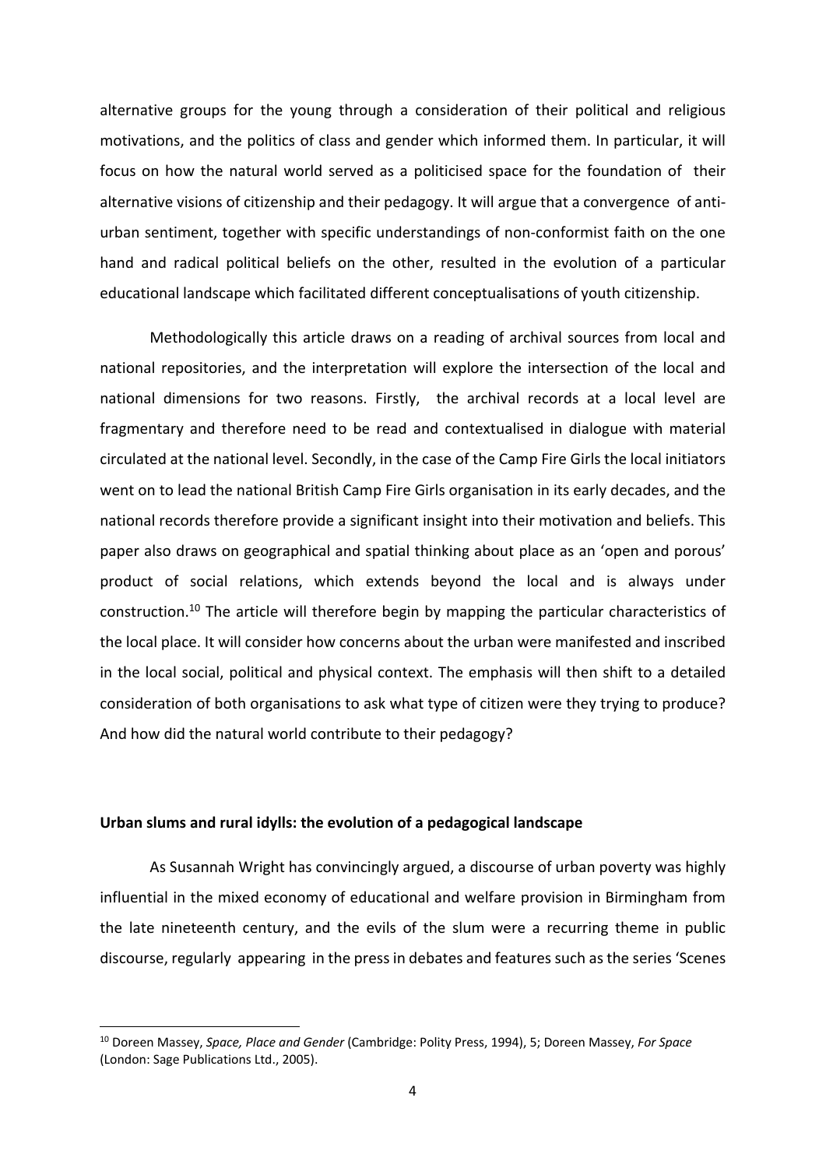alternative groups for the young through a consideration of their political and religious motivations, and the politics of class and gender which informed them. In particular, it will focus on how the natural world served as a politicised space for the foundation of their alternative visions of citizenship and their pedagogy. It will argue that a convergence of antiurban sentiment, together with specific understandings of non‐conformist faith on the one hand and radical political beliefs on the other, resulted in the evolution of a particular educational landscape which facilitated different conceptualisations of youth citizenship.

Methodologically this article draws on a reading of archival sources from local and national repositories, and the interpretation will explore the intersection of the local and national dimensions for two reasons. Firstly, the archival records at a local level are fragmentary and therefore need to be read and contextualised in dialogue with material circulated at the national level. Secondly, in the case of the Camp Fire Girls the local initiators went on to lead the national British Camp Fire Girls organisation in its early decades, and the national records therefore provide a significant insight into their motivation and beliefs. This paper also draws on geographical and spatial thinking about place as an 'open and porous' product of social relations, which extends beyond the local and is always under construction.10 The article will therefore begin by mapping the particular characteristics of the local place. It will consider how concerns about the urban were manifested and inscribed in the local social, political and physical context. The emphasis will then shift to a detailed consideration of both organisations to ask what type of citizen were they trying to produce? And how did the natural world contribute to their pedagogy?

#### **Urban slums and rural idylls: the evolution of a pedagogical landscape**

As Susannah Wright has convincingly argued, a discourse of urban poverty was highly influential in the mixed economy of educational and welfare provision in Birmingham from the late nineteenth century, and the evils of the slum were a recurring theme in public discourse, regularly appearing in the press in debates and features such as the series 'Scenes

<sup>10</sup> Doreen Massey, *Space, Place and Gender* (Cambridge: Polity Press, 1994), 5; Doreen Massey, *For Space* (London: Sage Publications Ltd., 2005).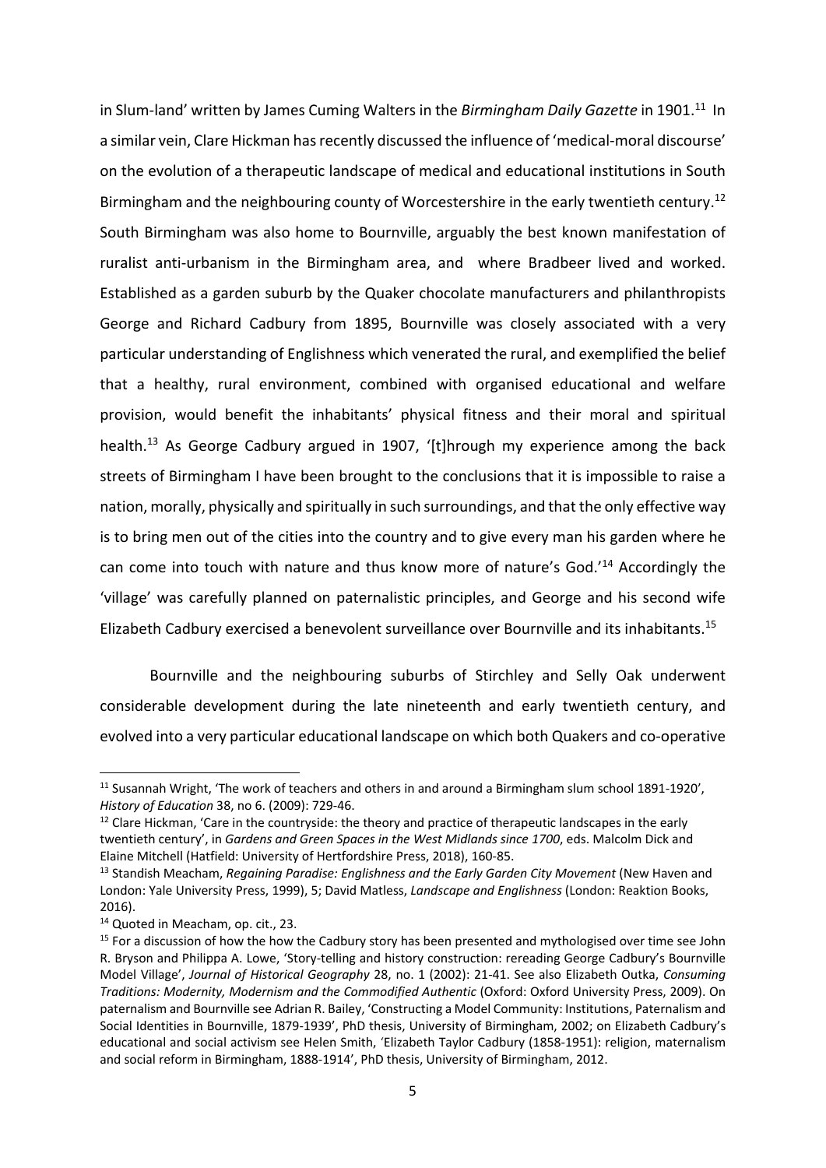in Slum-land' written by James Cuming Walters in the *Birmingham Daily Gazette* in 1901.<sup>11</sup> In a similar vein, Clare Hickman has recently discussed the influence of 'medical‐moral discourse' on the evolution of a therapeutic landscape of medical and educational institutions in South Birmingham and the neighbouring county of Worcestershire in the early twentieth century.<sup>12</sup> South Birmingham was also home to Bournville, arguably the best known manifestation of ruralist anti-urbanism in the Birmingham area, and where Bradbeer lived and worked. Established as a garden suburb by the Quaker chocolate manufacturers and philanthropists George and Richard Cadbury from 1895, Bournville was closely associated with a very particular understanding of Englishness which venerated the rural, and exemplified the belief that a healthy, rural environment, combined with organised educational and welfare provision, would benefit the inhabitants' physical fitness and their moral and spiritual health.<sup>13</sup> As George Cadbury argued in 1907, '[t]hrough my experience among the back streets of Birmingham I have been brought to the conclusions that it is impossible to raise a nation, morally, physically and spiritually in such surroundings, and that the only effective way is to bring men out of the cities into the country and to give every man his garden where he can come into touch with nature and thus know more of nature's God.'14 Accordingly the 'village' was carefully planned on paternalistic principles, and George and his second wife Elizabeth Cadbury exercised a benevolent surveillance over Bournville and its inhabitants.15

Bournville and the neighbouring suburbs of Stirchley and Selly Oak underwent considerable development during the late nineteenth and early twentieth century, and evolved into a very particular educational landscape on which both Quakers and co‐operative

<sup>11</sup> Susannah Wright, 'The work of teachers and others in and around a Birmingham slum school 1891‐1920', *History of Education* 38, no 6. (2009): 729‐46.

 $12$  Clare Hickman, 'Care in the countryside: the theory and practice of therapeutic landscapes in the early twentieth century', in *Gardens and Green Spaces in the West Midlands since 1700*, eds. Malcolm Dick and Elaine Mitchell (Hatfield: University of Hertfordshire Press, 2018), 160‐85.

<sup>&</sup>lt;sup>13</sup> Standish Meacham, *Regaining Paradise: Englishness and the Early Garden City Movement (New Haven and* London: Yale University Press, 1999), 5; David Matless, *Landscape and Englishness* (London: Reaktion Books, 2016).

<sup>14</sup> Quoted in Meacham, op. cit., 23.

<sup>&</sup>lt;sup>15</sup> For a discussion of how the how the Cadbury story has been presented and mythologised over time see John R. Bryson and Philippa A. Lowe, 'Story‐telling and history construction: rereading George Cadbury's Bournville Model Village', *Journal of Historical Geography* 28, no. 1 (2002): 21‐41. See also Elizabeth Outka, *Consuming Traditions: Modernity, Modernism and the Commodified Authentic* (Oxford: Oxford University Press, 2009). On paternalism and Bournville see Adrian R. Bailey, 'Constructing a Model Community: Institutions, Paternalism and Social Identities in Bournville, 1879‐1939', PhD thesis, University of Birmingham, 2002; on Elizabeth Cadbury's educational and social activism see Helen Smith, 'Elizabeth Taylor Cadbury (1858‐1951): religion, maternalism and social reform in Birmingham, 1888‐1914', PhD thesis, University of Birmingham, 2012.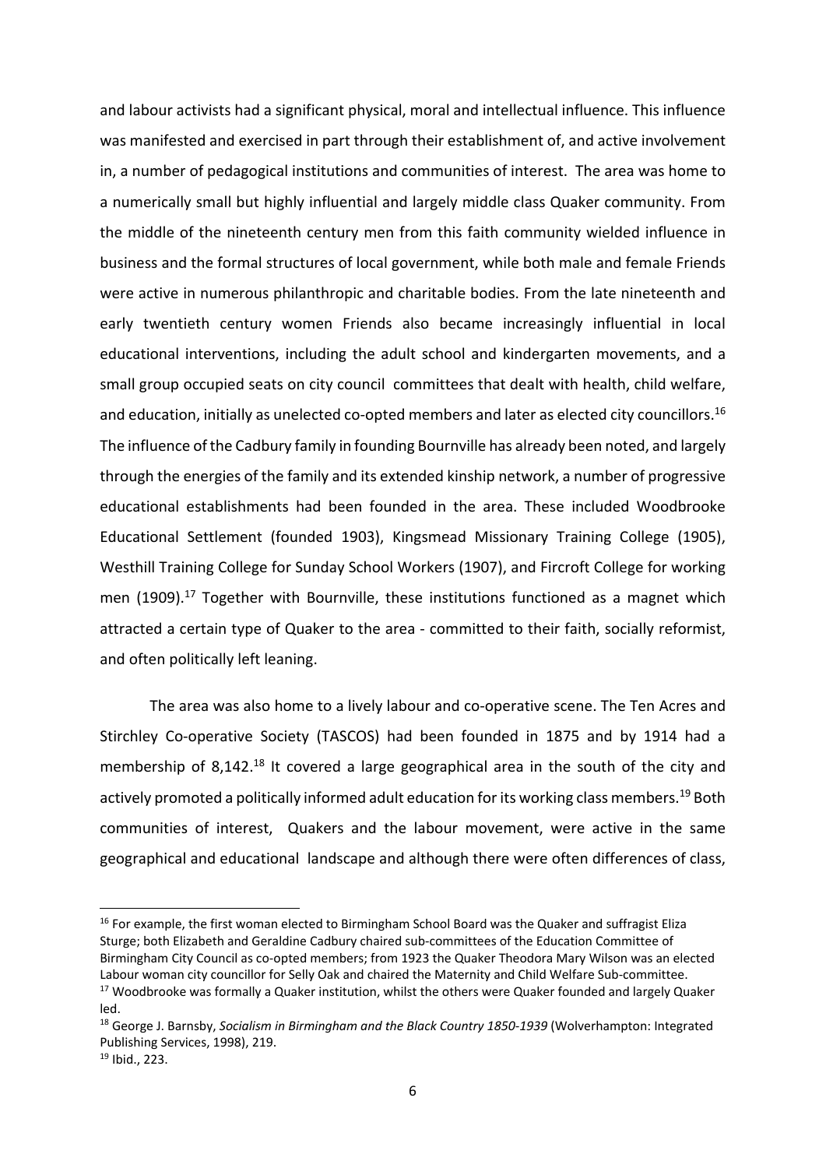and labour activists had a significant physical, moral and intellectual influence. This influence was manifested and exercised in part through their establishment of, and active involvement in, a number of pedagogical institutions and communities of interest. The area was home to a numerically small but highly influential and largely middle class Quaker community. From the middle of the nineteenth century men from this faith community wielded influence in business and the formal structures of local government, while both male and female Friends were active in numerous philanthropic and charitable bodies. From the late nineteenth and early twentieth century women Friends also became increasingly influential in local educational interventions, including the adult school and kindergarten movements, and a small group occupied seats on city council committees that dealt with health, child welfare, and education, initially as unelected co-opted members and later as elected city councillors.<sup>16</sup> The influence of the Cadbury family in founding Bournville has already been noted, and largely through the energies of the family and its extended kinship network, a number of progressive educational establishments had been founded in the area. These included Woodbrooke Educational Settlement (founded 1903), Kingsmead Missionary Training College (1905), Westhill Training College for Sunday School Workers (1907), and Fircroft College for working men  $(1909).$ <sup>17</sup> Together with Bournville, these institutions functioned as a magnet which attracted a certain type of Quaker to the area ‐ committed to their faith, socially reformist, and often politically left leaning.

The area was also home to a lively labour and co-operative scene. The Ten Acres and Stirchley Co-operative Society (TASCOS) had been founded in 1875 and by 1914 had a membership of 8,142.<sup>18</sup> It covered a large geographical area in the south of the city and actively promoted a politically informed adult education for its working class members.<sup>19</sup> Both communities of interest, Quakers and the labour movement, were active in the same geographical and educational landscape and although there were often differences of class,

<sup>&</sup>lt;sup>16</sup> For example, the first woman elected to Birmingham School Board was the Quaker and suffragist Eliza Sturge; both Elizabeth and Geraldine Cadbury chaired sub‐committees of the Education Committee of Birmingham City Council as co‐opted members; from 1923 the Quaker Theodora Mary Wilson was an elected Labour woman city councillor for Selly Oak and chaired the Maternity and Child Welfare Sub-committee. <sup>17</sup> Woodbrooke was formally a Quaker institution, whilst the others were Quaker founded and largely Quaker

led.

<sup>18</sup> George J. Barnsby, *Socialism in Birmingham and the Black Country 1850‐1939* (Wolverhampton: Integrated Publishing Services, 1998), 219.

<sup>19</sup> Ibid., 223.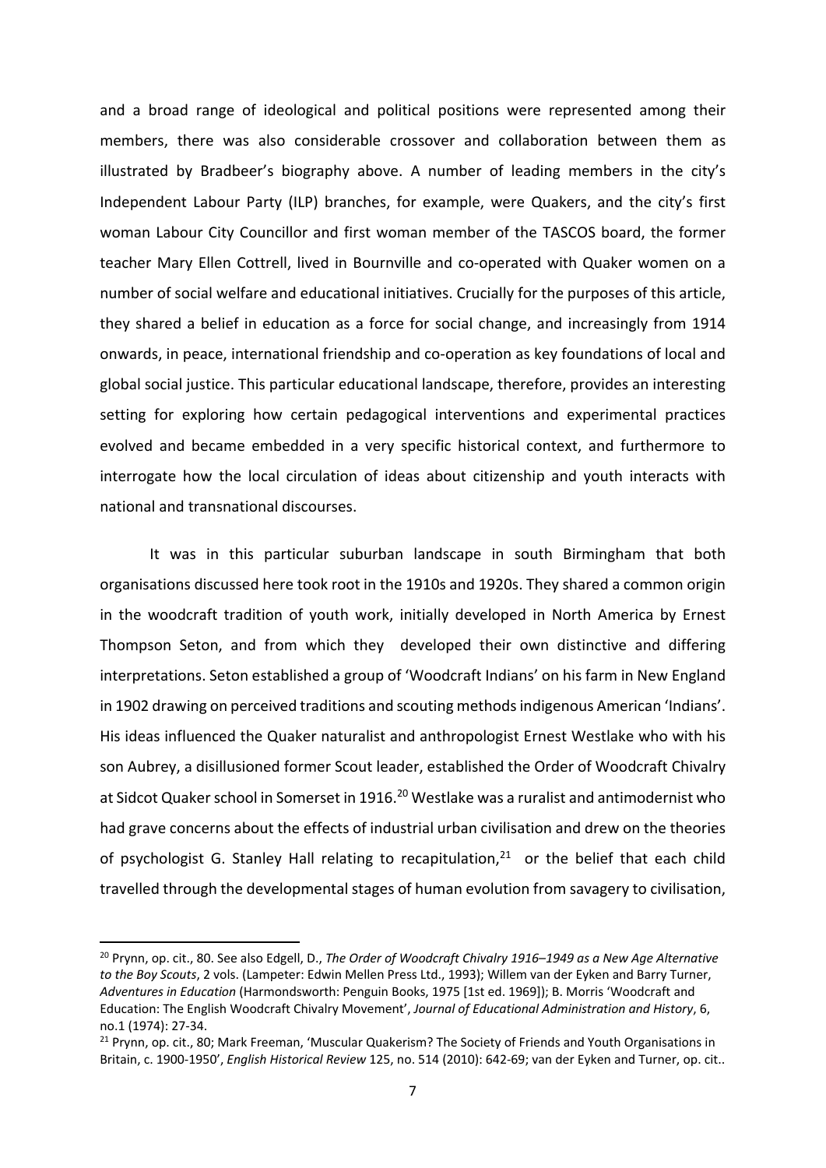and a broad range of ideological and political positions were represented among their members, there was also considerable crossover and collaboration between them as illustrated by Bradbeer's biography above. A number of leading members in the city's Independent Labour Party (ILP) branches, for example, were Quakers, and the city's first woman Labour City Councillor and first woman member of the TASCOS board, the former teacher Mary Ellen Cottrell, lived in Bournville and co-operated with Quaker women on a number of social welfare and educational initiatives. Crucially for the purposes of this article, they shared a belief in education as a force for social change, and increasingly from 1914 onwards, in peace, international friendship and co‐operation as key foundations of local and global social justice. This particular educational landscape, therefore, provides an interesting setting for exploring how certain pedagogical interventions and experimental practices evolved and became embedded in a very specific historical context, and furthermore to interrogate how the local circulation of ideas about citizenship and youth interacts with national and transnational discourses.

It was in this particular suburban landscape in south Birmingham that both organisations discussed here took root in the 1910s and 1920s. They shared a common origin in the woodcraft tradition of youth work, initially developed in North America by Ernest Thompson Seton, and from which they developed their own distinctive and differing interpretations. Seton established a group of 'Woodcraft Indians' on his farm in New England in 1902 drawing on perceived traditions and scouting methods indigenous American 'Indians'. His ideas influenced the Quaker naturalist and anthropologist Ernest Westlake who with his son Aubrey, a disillusioned former Scout leader, established the Order of Woodcraft Chivalry at Sidcot Quaker school in Somerset in 1916.<sup>20</sup> Westlake was a ruralist and antimodernist who had grave concerns about the effects of industrial urban civilisation and drew on the theories of psychologist G. Stanley Hall relating to recapitulation, $21$  or the belief that each child travelled through the developmental stages of human evolution from savagery to civilisation,

<sup>20</sup> Prynn, op. cit., 80. See also Edgell, D., *The Order of Woodcraft Chivalry 1916–1949 as a New Age Alternative to the Boy Scouts*, 2 vols. (Lampeter: Edwin Mellen Press Ltd., 1993); Willem van der Eyken and Barry Turner, *Adventures in Education* (Harmondsworth: Penguin Books, 1975 [1st ed. 1969]); B. Morris 'Woodcraft and Education: The English Woodcraft Chivalry Movement', *Journal of Educational Administration and History*, 6, no.1 (1974): 27‐34.

<sup>&</sup>lt;sup>21</sup> Prynn, op. cit., 80; Mark Freeman, 'Muscular Quakerism? The Society of Friends and Youth Organisations in Britain, c. 1900‐1950', *English Historical Review* 125, no. 514 (2010): 642‐69; van der Eyken and Turner, op. cit..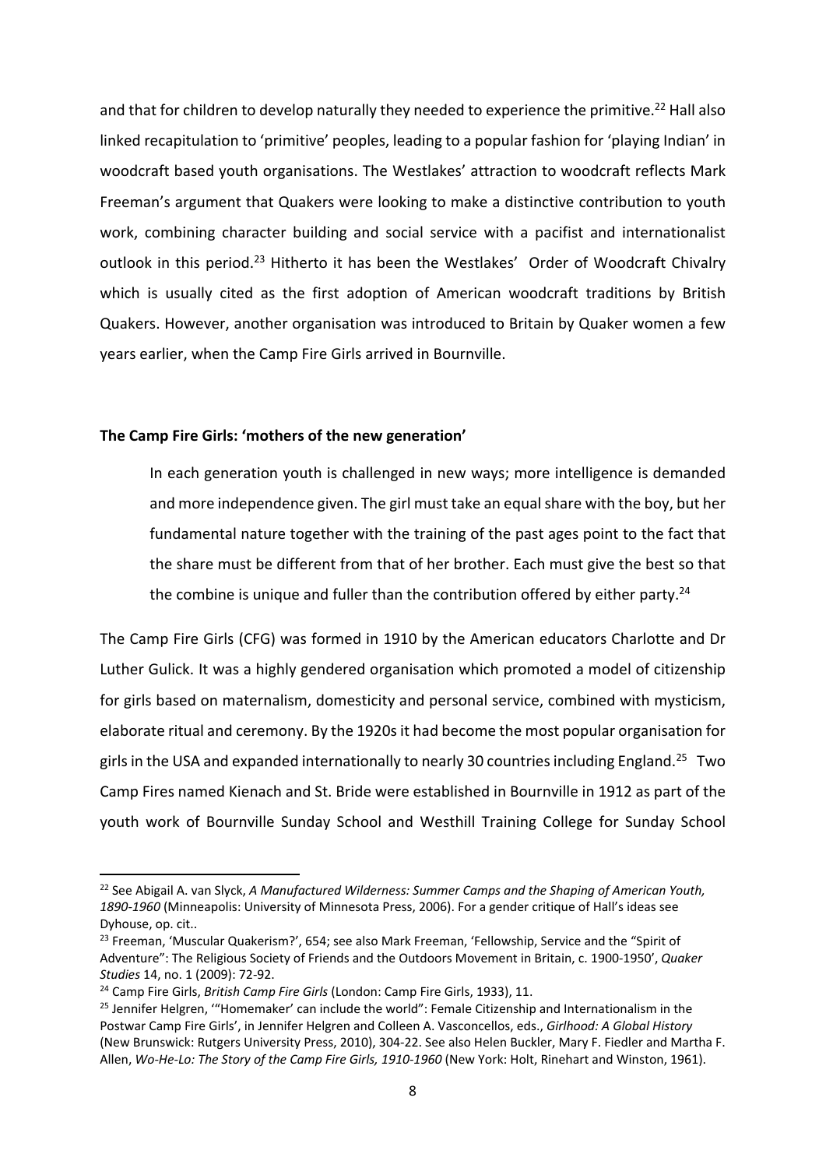and that for children to develop naturally they needed to experience the primitive.<sup>22</sup> Hall also linked recapitulation to 'primitive' peoples, leading to a popular fashion for 'playing Indian' in woodcraft based youth organisations. The Westlakes' attraction to woodcraft reflects Mark Freeman's argument that Quakers were looking to make a distinctive contribution to youth work, combining character building and social service with a pacifist and internationalist outlook in this period.<sup>23</sup> Hitherto it has been the Westlakes' Order of Woodcraft Chivalry which is usually cited as the first adoption of American woodcraft traditions by British Quakers. However, another organisation was introduced to Britain by Quaker women a few years earlier, when the Camp Fire Girls arrived in Bournville.

#### **The Camp Fire Girls: 'mothers of the new generation'**

In each generation youth is challenged in new ways; more intelligence is demanded and more independence given. The girl must take an equal share with the boy, but her fundamental nature together with the training of the past ages point to the fact that the share must be different from that of her brother. Each must give the best so that the combine is unique and fuller than the contribution offered by either party.<sup>24</sup>

The Camp Fire Girls (CFG) was formed in 1910 by the American educators Charlotte and Dr Luther Gulick. It was a highly gendered organisation which promoted a model of citizenship for girls based on maternalism, domesticity and personal service, combined with mysticism, elaborate ritual and ceremony. By the 1920s it had become the most popular organisation for girls in the USA and expanded internationally to nearly 30 countries including England.25 Two Camp Fires named Kienach and St. Bride were established in Bournville in 1912 as part of the youth work of Bournville Sunday School and Westhill Training College for Sunday School

<sup>22</sup> See Abigail A. van Slyck, *A Manufactured Wilderness: Summer Camps and the Shaping of American Youth, 1890‐1960* (Minneapolis: University of Minnesota Press, 2006). For a gender critique of Hall's ideas see Dyhouse, op. cit..

<sup>&</sup>lt;sup>23</sup> Freeman, 'Muscular Quakerism?', 654; see also Mark Freeman, 'Fellowship, Service and the "Spirit of Adventure": The Religious Society of Friends and the Outdoors Movement in Britain, c. 1900‐1950', *Quaker Studies* 14, no. 1 (2009): 72‐92.

<sup>24</sup> Camp Fire Girls, *British Camp Fire Girls* (London: Camp Fire Girls, 1933), 11.

<sup>&</sup>lt;sup>25</sup> Jennifer Helgren, "Homemaker' can include the world": Female Citizenship and Internationalism in the Postwar Camp Fire Girls', in Jennifer Helgren and Colleen A. Vasconcellos, eds., *Girlhood: A Global History* (New Brunswick: Rutgers University Press, 2010), 304‐22. See also Helen Buckler, Mary F. Fiedler and Martha F. Allen, *Wo‐He‐Lo: The Story of the Camp Fire Girls, 1910‐1960* (New York: Holt, Rinehart and Winston, 1961).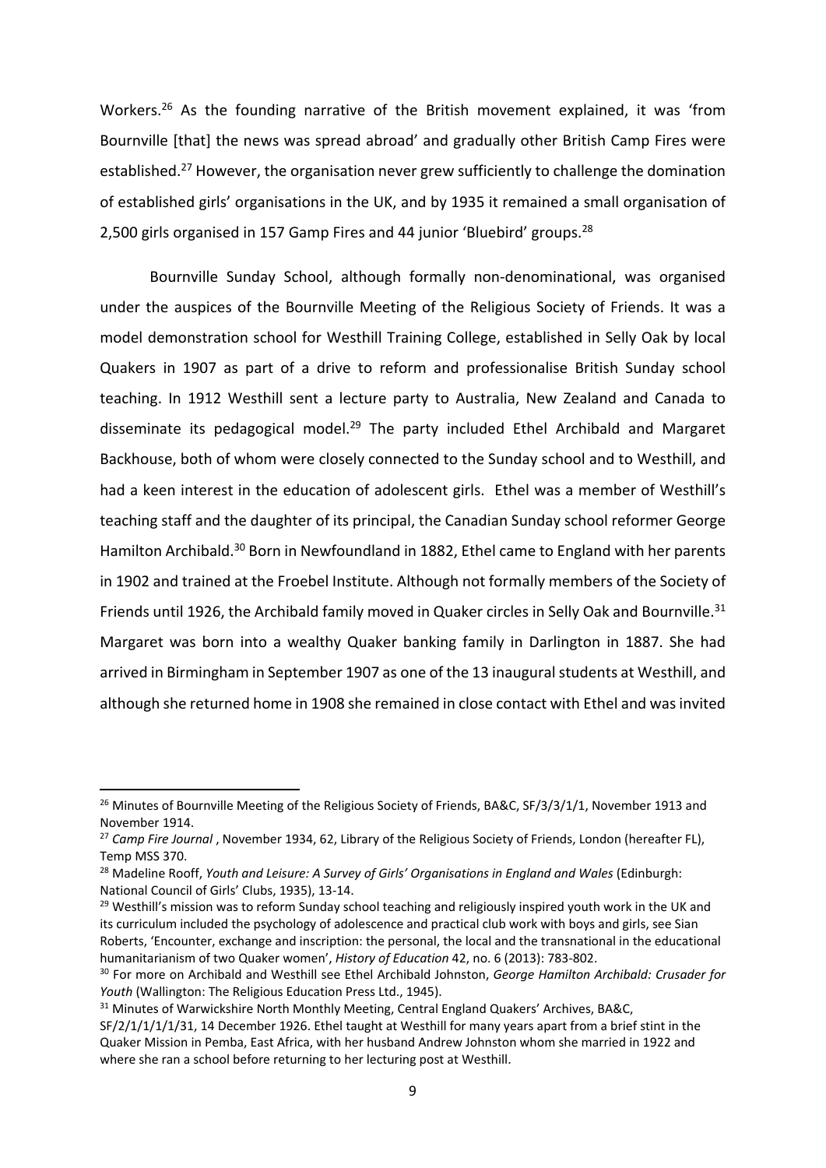Workers.<sup>26</sup> As the founding narrative of the British movement explained, it was 'from Bournville [that] the news was spread abroad' and gradually other British Camp Fires were established.<sup>27</sup> However, the organisation never grew sufficiently to challenge the domination of established girls' organisations in the UK, and by 1935 it remained a small organisation of 2,500 girls organised in 157 Gamp Fires and 44 junior 'Bluebird' groups.<sup>28</sup>

Bournville Sunday School, although formally non‐denominational, was organised under the auspices of the Bournville Meeting of the Religious Society of Friends. It was a model demonstration school for Westhill Training College, established in Selly Oak by local Quakers in 1907 as part of a drive to reform and professionalise British Sunday school teaching. In 1912 Westhill sent a lecture party to Australia, New Zealand and Canada to disseminate its pedagogical model.<sup>29</sup> The party included Ethel Archibald and Margaret Backhouse, both of whom were closely connected to the Sunday school and to Westhill, and had a keen interest in the education of adolescent girls. Ethel was a member of Westhill's teaching staff and the daughter of its principal, the Canadian Sunday school reformer George Hamilton Archibald.<sup>30</sup> Born in Newfoundland in 1882, Ethel came to England with her parents in 1902 and trained at the Froebel Institute. Although not formally members of the Society of Friends until 1926, the Archibald family moved in Quaker circles in Selly Oak and Bournville.<sup>31</sup> Margaret was born into a wealthy Quaker banking family in Darlington in 1887. She had arrived in Birmingham in September 1907 as one of the 13 inaugural students at Westhill, and although she returned home in 1908 she remained in close contact with Ethel and was invited

<sup>29</sup> Westhill's mission was to reform Sunday school teaching and religiously inspired youth work in the UK and its curriculum included the psychology of adolescence and practical club work with boys and girls, see Sian Roberts, 'Encounter, exchange and inscription: the personal, the local and the transnational in the educational humanitarianism of two Quaker women', *History of Education* 42, no. 6 (2013): 783‐802.

<sup>&</sup>lt;sup>26</sup> Minutes of Bournville Meeting of the Religious Society of Friends, BA&C, SF/3/3/1/1, November 1913 and November 1914.

<sup>&</sup>lt;sup>27</sup> *Camp Fire Journal*, November 1934, 62, Library of the Religious Society of Friends, London (hereafter FL), Temp MSS 370.

<sup>28</sup> Madeline Rooff, *Youth and Leisure: A Survey of Girls' Organisations in England and Wales* (Edinburgh: National Council of Girls' Clubs, 1935), 13‐14.

<sup>30</sup> For more on Archibald and Westhill see Ethel Archibald Johnston, *George Hamilton Archibald: Crusader for Youth* (Wallington: The Religious Education Press Ltd., 1945).

<sup>&</sup>lt;sup>31</sup> Minutes of Warwickshire North Monthly Meeting, Central England Quakers' Archives, BA&C,

SF/2/1/1/1/31, 14 December 1926. Ethel taught at Westhill for many years apart from a brief stint in the Quaker Mission in Pemba, East Africa, with her husband Andrew Johnston whom she married in 1922 and where she ran a school before returning to her lecturing post at Westhill.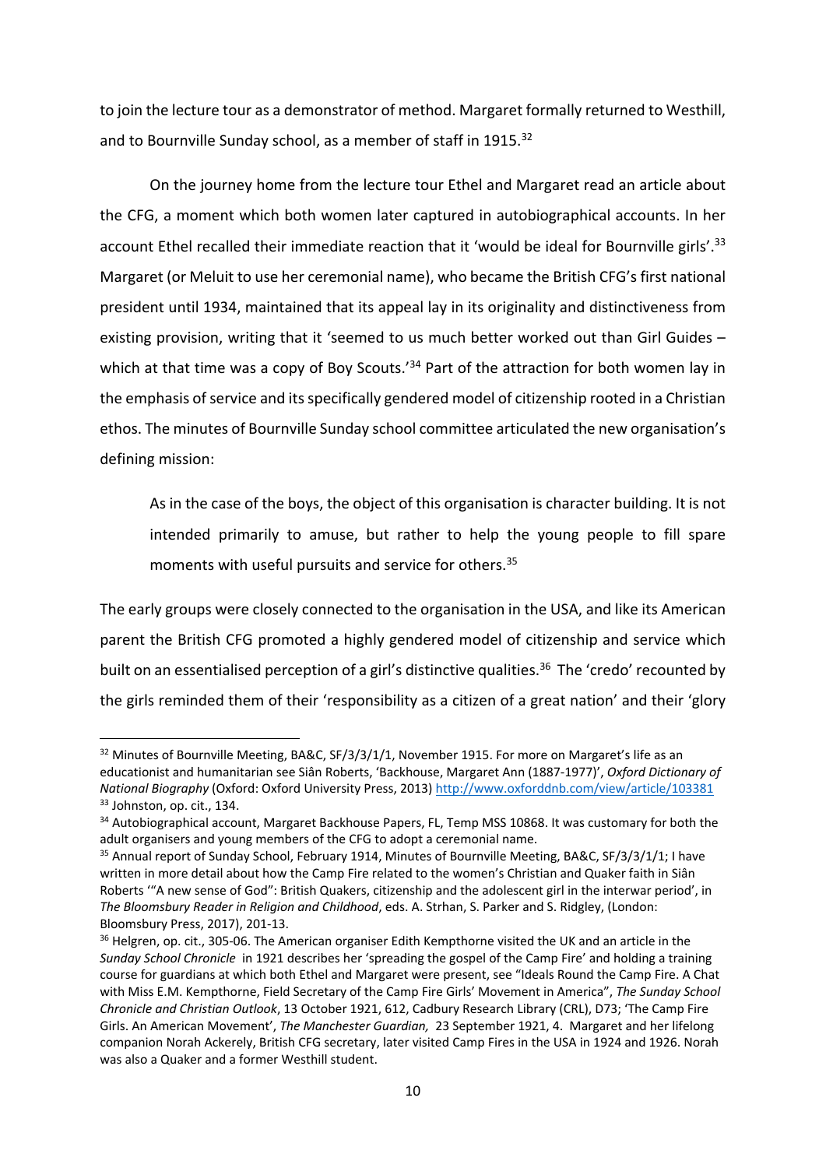to join the lecture tour as a demonstrator of method. Margaret formally returned to Westhill, and to Bournville Sunday school, as a member of staff in 1915.<sup>32</sup>

On the journey home from the lecture tour Ethel and Margaret read an article about the CFG, a moment which both women later captured in autobiographical accounts. In her account Ethel recalled their immediate reaction that it 'would be ideal for Bournville girls'.<sup>33</sup> Margaret (or Meluit to use her ceremonial name), who became the British CFG's first national president until 1934, maintained that its appeal lay in its originality and distinctiveness from existing provision, writing that it 'seemed to us much better worked out than Girl Guides – which at that time was a copy of Boy Scouts.<sup>'34</sup> Part of the attraction for both women lay in the emphasis of service and its specifically gendered model of citizenship rooted in a Christian ethos. The minutes of Bournville Sunday school committee articulated the new organisation's defining mission:

As in the case of the boys, the object of this organisation is character building. It is not intended primarily to amuse, but rather to help the young people to fill spare moments with useful pursuits and service for others.35

The early groups were closely connected to the organisation in the USA, and like its American parent the British CFG promoted a highly gendered model of citizenship and service which built on an essentialised perception of a girl's distinctive qualities.<sup>36</sup> The 'credo' recounted by the girls reminded them of their 'responsibility as a citizen of a great nation' and their 'glory

<sup>&</sup>lt;sup>32</sup> Minutes of Bournville Meeting, BA&C, SF/3/3/1/1, November 1915. For more on Margaret's life as an educationist and humanitarian see Siân Roberts, 'Backhouse, Margaret Ann (1887‐1977)', *Oxford Dictionary of National Biography* (Oxford: Oxford University Press, 2013) http://www.oxforddnb.com/view/article/103381 <sup>33</sup> Johnston, op. cit., 134.

<sup>&</sup>lt;sup>34</sup> Autobiographical account, Margaret Backhouse Papers, FL, Temp MSS 10868. It was customary for both the adult organisers and young members of the CFG to adopt a ceremonial name.

<sup>&</sup>lt;sup>35</sup> Annual report of Sunday School, February 1914, Minutes of Bournville Meeting, BA&C, SF/3/3/1/1; I have written in more detail about how the Camp Fire related to the women's Christian and Quaker faith in Siân Roberts '"A new sense of God": British Quakers, citizenship and the adolescent girl in the interwar period', in *The Bloomsbury Reader in Religion and Childhood*, eds. A. Strhan, S. Parker and S. Ridgley, (London: Bloomsbury Press, 2017), 201‐13.

<sup>&</sup>lt;sup>36</sup> Helgren, op. cit., 305-06. The American organiser Edith Kempthorne visited the UK and an article in the *Sunday School Chronicle*  in 1921 describes her 'spreading the gospel of the Camp Fire' and holding a training course for guardians at which both Ethel and Margaret were present, see "Ideals Round the Camp Fire. A Chat with Miss E.M. Kempthorne, Field Secretary of the Camp Fire Girls' Movement in America", *The Sunday School Chronicle and Christian Outlook*, 13 October 1921, 612, Cadbury Research Library (CRL), D73; 'The Camp Fire Girls. An American Movement', *The Manchester Guardian,*  23 September 1921, 4. Margaret and her lifelong companion Norah Ackerely, British CFG secretary, later visited Camp Fires in the USA in 1924 and 1926. Norah was also a Quaker and a former Westhill student.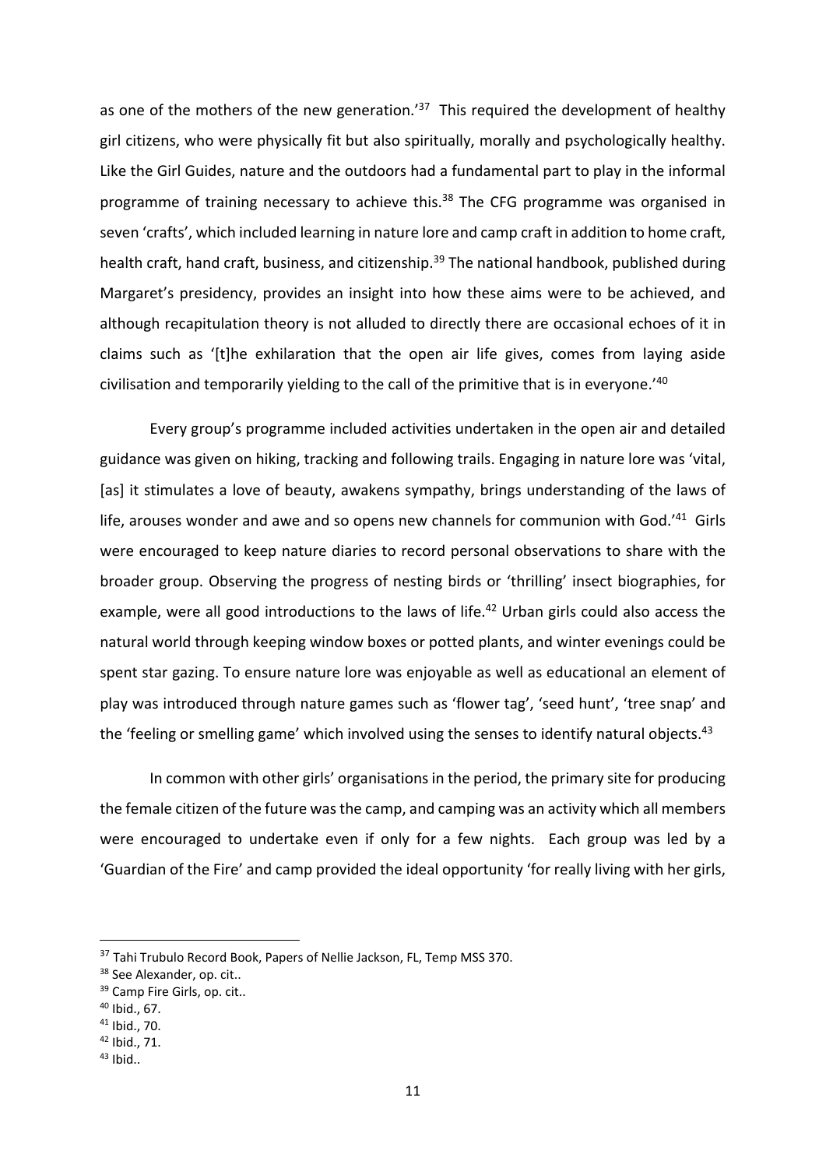as one of the mothers of the new generation.<sup>'37</sup> This required the development of healthy girl citizens, who were physically fit but also spiritually, morally and psychologically healthy. Like the Girl Guides, nature and the outdoors had a fundamental part to play in the informal programme of training necessary to achieve this.<sup>38</sup> The CFG programme was organised in seven 'crafts', which included learning in nature lore and camp craft in addition to home craft, health craft, hand craft, business, and citizenship.<sup>39</sup> The national handbook, published during Margaret's presidency, provides an insight into how these aims were to be achieved, and although recapitulation theory is not alluded to directly there are occasional echoes of it in claims such as '[t]he exhilaration that the open air life gives, comes from laying aside civilisation and temporarily yielding to the call of the primitive that is in everyone.'40

Every group's programme included activities undertaken in the open air and detailed guidance was given on hiking, tracking and following trails. Engaging in nature lore was 'vital, [as] it stimulates a love of beauty, awakens sympathy, brings understanding of the laws of life, arouses wonder and awe and so opens new channels for communion with God.<sup>'41</sup> Girls were encouraged to keep nature diaries to record personal observations to share with the broader group. Observing the progress of nesting birds or 'thrilling' insect biographies, for example, were all good introductions to the laws of life.<sup>42</sup> Urban girls could also access the natural world through keeping window boxes or potted plants, and winter evenings could be spent star gazing. To ensure nature lore was enjoyable as well as educational an element of play was introduced through nature games such as 'flower tag', 'seed hunt', 'tree snap' and the 'feeling or smelling game' which involved using the senses to identify natural objects.<sup>43</sup>

In common with other girls' organisations in the period, the primary site for producing the female citizen of the future was the camp, and camping was an activity which all members were encouraged to undertake even if only for a few nights. Each group was led by a 'Guardian of the Fire' and camp provided the ideal opportunity 'for really living with her girls,

<sup>&</sup>lt;sup>37</sup> Tahi Trubulo Record Book, Papers of Nellie Jackson, FL, Temp MSS 370.

<sup>&</sup>lt;sup>38</sup> See Alexander, op. cit..

<sup>&</sup>lt;sup>39</sup> Camp Fire Girls, op. cit..

 $40$  Ibid., 67.

<sup>41</sup> Ibid., 70.

<sup>42</sup> Ibid., 71.

 $43$  Ibid..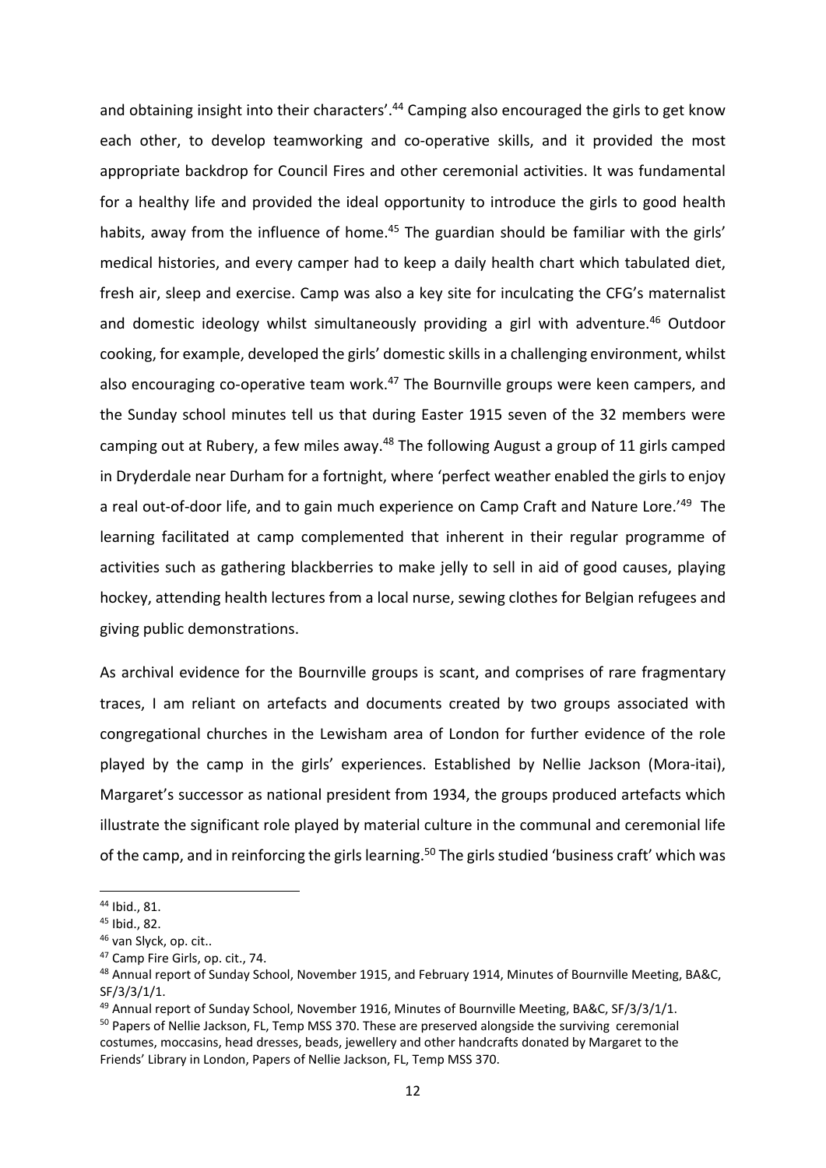and obtaining insight into their characters'.<sup>44</sup> Camping also encouraged the girls to get know each other, to develop teamworking and co-operative skills, and it provided the most appropriate backdrop for Council Fires and other ceremonial activities. It was fundamental for a healthy life and provided the ideal opportunity to introduce the girls to good health habits, away from the influence of home.<sup>45</sup> The guardian should be familiar with the girls' medical histories, and every camper had to keep a daily health chart which tabulated diet, fresh air, sleep and exercise. Camp was also a key site for inculcating the CFG's maternalist and domestic ideology whilst simultaneously providing a girl with adventure.<sup>46</sup> Outdoor cooking, for example, developed the girls' domestic skills in a challenging environment, whilst also encouraging co-operative team work.<sup>47</sup> The Bournville groups were keen campers, and the Sunday school minutes tell us that during Easter 1915 seven of the 32 members were camping out at Rubery, a few miles away.<sup>48</sup> The following August a group of 11 girls camped in Dryderdale near Durham for a fortnight, where 'perfect weather enabled the girls to enjoy a real out-of-door life, and to gain much experience on Camp Craft and Nature Lore.<sup>149</sup> The learning facilitated at camp complemented that inherent in their regular programme of activities such as gathering blackberries to make jelly to sell in aid of good causes, playing hockey, attending health lectures from a local nurse, sewing clothes for Belgian refugees and giving public demonstrations.

As archival evidence for the Bournville groups is scant, and comprises of rare fragmentary traces, I am reliant on artefacts and documents created by two groups associated with congregational churches in the Lewisham area of London for further evidence of the role played by the camp in the girls' experiences. Established by Nellie Jackson (Mora-itai), Margaret's successor as national president from 1934, the groups produced artefacts which illustrate the significant role played by material culture in the communal and ceremonial life of the camp, and in reinforcing the girls learning.<sup>50</sup> The girls studied 'business craft' which was

<sup>44</sup> Ibid., 81.

<sup>45</sup> Ibid., 82.

<sup>46</sup> van Slyck, op. cit..

<sup>47</sup> Camp Fire Girls, op. cit., 74.

<sup>&</sup>lt;sup>48</sup> Annual report of Sunday School, November 1915, and February 1914, Minutes of Bournville Meeting, BA&C, SF/3/3/1/1.

<sup>&</sup>lt;sup>49</sup> Annual report of Sunday School, November 1916, Minutes of Bournville Meeting, BA&C, SF/3/3/1/1.

<sup>&</sup>lt;sup>50</sup> Papers of Nellie Jackson, FL, Temp MSS 370. These are preserved alongside the surviving ceremonial costumes, moccasins, head dresses, beads, jewellery and other handcrafts donated by Margaret to the Friends' Library in London, Papers of Nellie Jackson, FL, Temp MSS 370.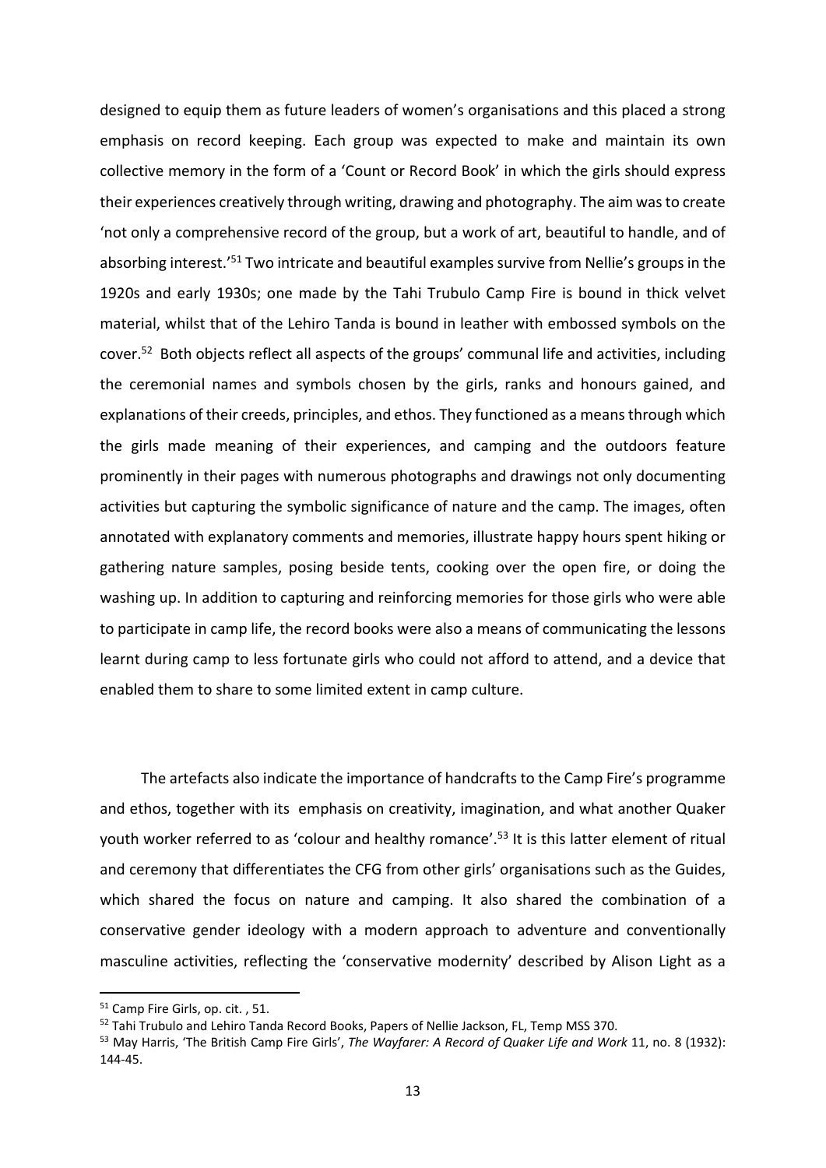designed to equip them as future leaders of women's organisations and this placed a strong emphasis on record keeping. Each group was expected to make and maintain its own collective memory in the form of a 'Count or Record Book' in which the girls should express their experiences creatively through writing, drawing and photography. The aim was to create 'not only a comprehensive record of the group, but a work of art, beautiful to handle, and of absorbing interest.<sup>'51</sup> Two intricate and beautiful examples survive from Nellie's groups in the 1920s and early 1930s; one made by the Tahi Trubulo Camp Fire is bound in thick velvet material, whilst that of the Lehiro Tanda is bound in leather with embossed symbols on the cover.52 Both objects reflect all aspects of the groups' communal life and activities, including the ceremonial names and symbols chosen by the girls, ranks and honours gained, and explanations of their creeds, principles, and ethos. They functioned as a means through which the girls made meaning of their experiences, and camping and the outdoors feature prominently in their pages with numerous photographs and drawings not only documenting activities but capturing the symbolic significance of nature and the camp. The images, often annotated with explanatory comments and memories, illustrate happy hours spent hiking or gathering nature samples, posing beside tents, cooking over the open fire, or doing the washing up. In addition to capturing and reinforcing memories for those girls who were able to participate in camp life, the record books were also a means of communicating the lessons learnt during camp to less fortunate girls who could not afford to attend, and a device that enabled them to share to some limited extent in camp culture.

 The artefacts also indicate the importance of handcrafts to the Camp Fire's programme and ethos, together with its emphasis on creativity, imagination, and what another Quaker youth worker referred to as 'colour and healthy romance'.<sup>53</sup> It is this latter element of ritual and ceremony that differentiates the CFG from other girls' organisations such as the Guides, which shared the focus on nature and camping. It also shared the combination of a conservative gender ideology with a modern approach to adventure and conventionally masculine activities, reflecting the 'conservative modernity' described by Alison Light as a

<sup>&</sup>lt;sup>51</sup> Camp Fire Girls, op. cit. , 51.

<sup>&</sup>lt;sup>52</sup> Tahi Trubulo and Lehiro Tanda Record Books, Papers of Nellie Jackson, FL, Temp MSS 370.

<sup>53</sup> May Harris, 'The British Camp Fire Girls', *The Wayfarer: A Record of Quaker Life and Work* 11, no. 8 (1932): 144‐45.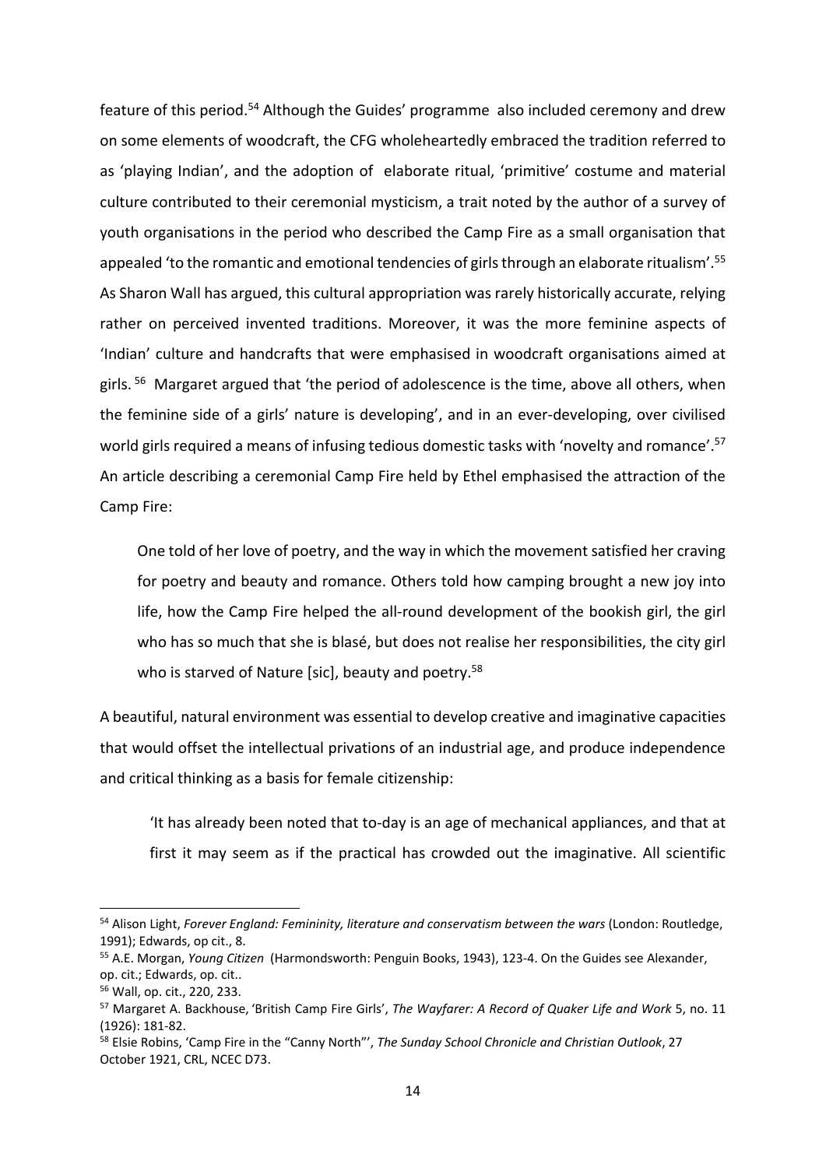feature of this period.54 Although the Guides' programme also included ceremony and drew on some elements of woodcraft, the CFG wholeheartedly embraced the tradition referred to as 'playing Indian', and the adoption of elaborate ritual, 'primitive' costume and material culture contributed to their ceremonial mysticism, a trait noted by the author of a survey of youth organisations in the period who described the Camp Fire as a small organisation that appealed 'to the romantic and emotional tendencies of girls through an elaborate ritualism'.<sup>55</sup> As Sharon Wall has argued, this cultural appropriation was rarely historically accurate, relying rather on perceived invented traditions. Moreover, it was the more feminine aspects of 'Indian' culture and handcrafts that were emphasised in woodcraft organisations aimed at girls.<sup>56</sup> Margaret argued that 'the period of adolescence is the time, above all others, when the feminine side of a girls' nature is developing', and in an ever‐developing, over civilised world girls required a means of infusing tedious domestic tasks with 'novelty and romance'.<sup>57</sup> An article describing a ceremonial Camp Fire held by Ethel emphasised the attraction of the Camp Fire:

One told of her love of poetry, and the way in which the movement satisfied her craving for poetry and beauty and romance. Others told how camping brought a new joy into life, how the Camp Fire helped the all‐round development of the bookish girl, the girl who has so much that she is blasé, but does not realise her responsibilities, the city girl who is starved of Nature [sic], beauty and poetry.<sup>58</sup>

A beautiful, natural environment was essential to develop creative and imaginative capacities that would offset the intellectual privations of an industrial age, and produce independence and critical thinking as a basis for female citizenship:

'It has already been noted that to‐day is an age of mechanical appliances, and that at first it may seem as if the practical has crowded out the imaginative. All scientific

<sup>54</sup> Alison Light, *Forever England: Femininity, literature and conservatism between the wars* (London: Routledge, 1991); Edwards, op cit., 8.

<sup>55</sup> A.E. Morgan, *Young Citizen*  (Harmondsworth: Penguin Books, 1943), 123‐4. On the Guides see Alexander, op. cit.; Edwards, op. cit..

<sup>56</sup> Wall, op. cit., 220, 233.

<sup>57</sup> Margaret A. Backhouse, 'British Camp Fire Girls', *The Wayfarer: A Record of Quaker Life and Work* 5, no. 11 (1926): 181‐82.

<sup>58</sup> Elsie Robins, 'Camp Fire in the "Canny North"', *The Sunday School Chronicle and Christian Outlook*, 27 October 1921, CRL, NCEC D73.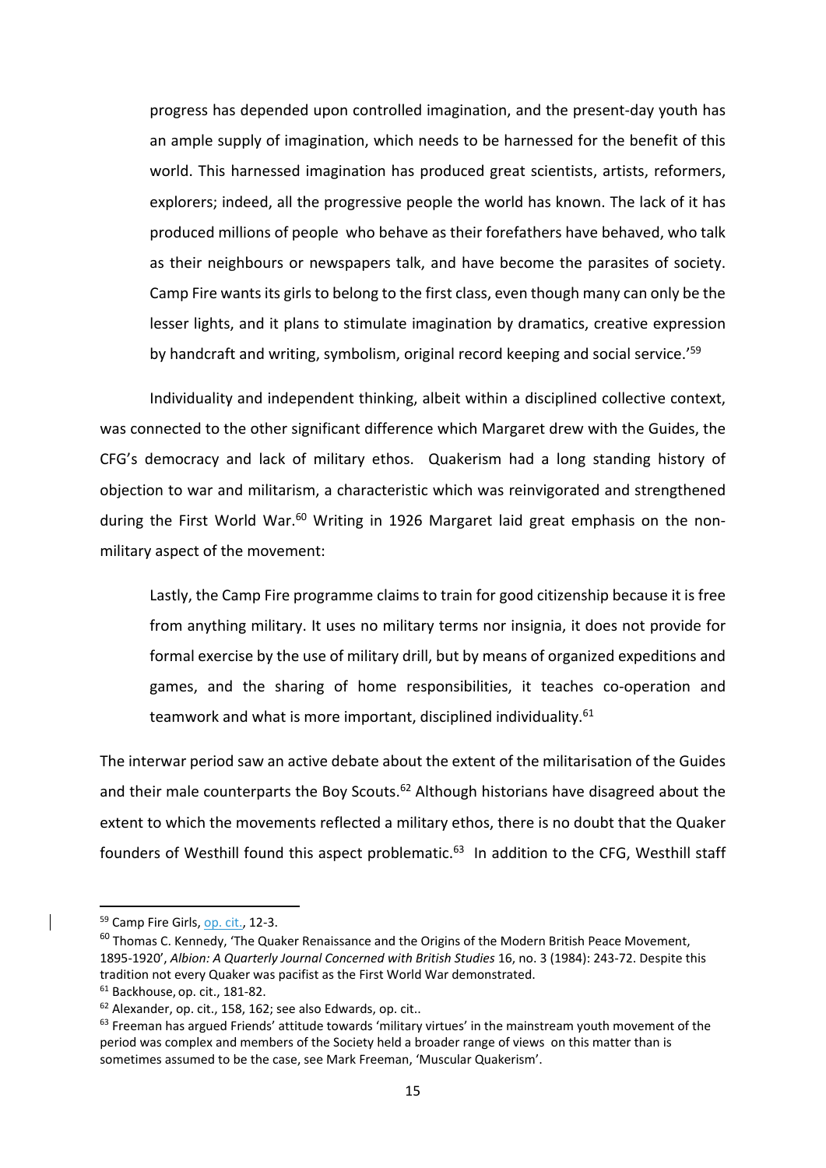progress has depended upon controlled imagination, and the present‐day youth has an ample supply of imagination, which needs to be harnessed for the benefit of this world. This harnessed imagination has produced great scientists, artists, reformers, explorers; indeed, all the progressive people the world has known. The lack of it has produced millions of people who behave as their forefathers have behaved, who talk as their neighbours or newspapers talk, and have become the parasites of society. Camp Fire wants its girls to belong to the first class, even though many can only be the lesser lights, and it plans to stimulate imagination by dramatics, creative expression by handcraft and writing, symbolism, original record keeping and social service.<sup>'59</sup>

Individuality and independent thinking, albeit within a disciplined collective context, was connected to the other significant difference which Margaret drew with the Guides, the CFG's democracy and lack of military ethos. Quakerism had a long standing history of objection to war and militarism, a characteristic which was reinvigorated and strengthened during the First World War.<sup>60</sup> Writing in 1926 Margaret laid great emphasis on the nonmilitary aspect of the movement:

Lastly, the Camp Fire programme claims to train for good citizenship because it is free from anything military. It uses no military terms nor insignia, it does not provide for formal exercise by the use of military drill, but by means of organized expeditions and games, and the sharing of home responsibilities, it teaches co-operation and teamwork and what is more important, disciplined individuality.<sup>61</sup>

The interwar period saw an active debate about the extent of the militarisation of the Guides and their male counterparts the Boy Scouts.<sup>62</sup> Although historians have disagreed about the extent to which the movements reflected a military ethos, there is no doubt that the Quaker founders of Westhill found this aspect problematic.<sup>63</sup> In addition to the CFG, Westhill staff

<sup>59</sup> Camp Fire Girls, op. cit., 12-3.

<sup>&</sup>lt;sup>60</sup> Thomas C. Kennedy, 'The Quaker Renaissance and the Origins of the Modern British Peace Movement, 1895‐1920', *Albion: A Quarterly Journal Concerned with British Studies* 16, no. 3 (1984): 243‐72. Despite this tradition not every Quaker was pacifist as the First World War demonstrated.

<sup>61</sup> Backhouse, op. cit., 181‐82.

<sup>&</sup>lt;sup>62</sup> Alexander, op. cit., 158, 162; see also Edwards, op. cit..

 $63$  Freeman has argued Friends' attitude towards 'military virtues' in the mainstream youth movement of the period was complex and members of the Society held a broader range of views on this matter than is sometimes assumed to be the case, see Mark Freeman, 'Muscular Quakerism'.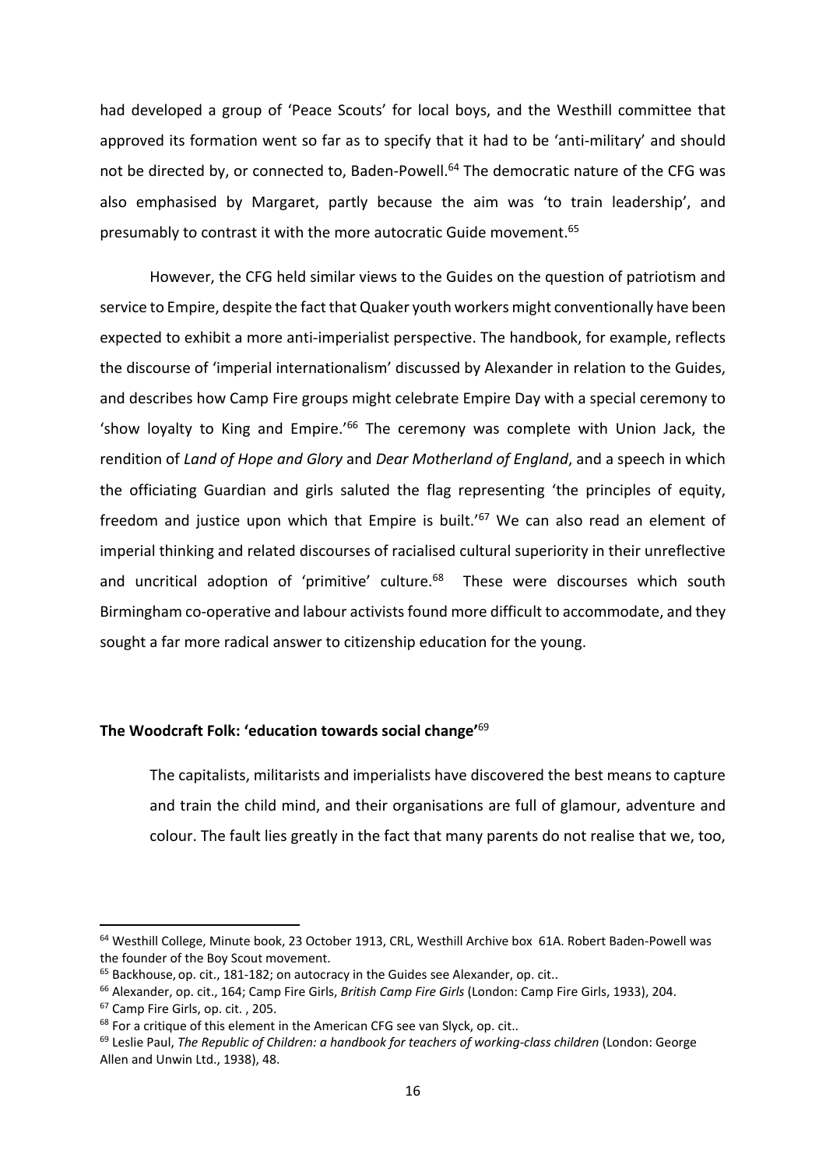had developed a group of 'Peace Scouts' for local boys, and the Westhill committee that approved its formation went so far as to specify that it had to be 'anti-military' and should not be directed by, or connected to, Baden-Powell.<sup>64</sup> The democratic nature of the CFG was also emphasised by Margaret, partly because the aim was 'to train leadership', and presumably to contrast it with the more autocratic Guide movement.<sup>65</sup>

However, the CFG held similar views to the Guides on the question of patriotism and service to Empire, despite the fact that Quaker youth workers might conventionally have been expected to exhibit a more anti-imperialist perspective. The handbook, for example, reflects the discourse of 'imperial internationalism' discussed by Alexander in relation to the Guides, and describes how Camp Fire groups might celebrate Empire Day with a special ceremony to 'show loyalty to King and Empire.'66 The ceremony was complete with Union Jack, the rendition of *Land of Hope and Glory* and *Dear Motherland of England*, and a speech in which the officiating Guardian and girls saluted the flag representing 'the principles of equity, freedom and justice upon which that Empire is built.<sup>'67</sup> We can also read an element of imperial thinking and related discourses of racialised cultural superiority in their unreflective and uncritical adoption of 'primitive' culture.<sup>68</sup> These were discourses which south Birmingham co-operative and labour activists found more difficult to accommodate, and they sought a far more radical answer to citizenship education for the young.

## **The Woodcraft Folk: 'education towards social change'**<sup>69</sup>

The capitalists, militarists and imperialists have discovered the best means to capture and train the child mind, and their organisations are full of glamour, adventure and colour. The fault lies greatly in the fact that many parents do not realise that we, too,

<sup>64</sup> Westhill College, Minute book, 23 October 1913, CRL, Westhill Archive box 61A. Robert Baden‐Powell was the founder of the Boy Scout movement.

<sup>&</sup>lt;sup>65</sup> Backhouse, op. cit., 181-182; on autocracy in the Guides see Alexander, op. cit..

<sup>66</sup> Alexander, op. cit., 164; Camp Fire Girls, *British Camp Fire Girls* (London: Camp Fire Girls, 1933), 204.

<sup>67</sup> Camp Fire Girls, op. cit. , 205.

<sup>&</sup>lt;sup>68</sup> For a critique of this element in the American CFG see van Slyck, op. cit..

<sup>69</sup> Leslie Paul, *The Republic of Children: a handbook for teachers of working‐class children* (London: George Allen and Unwin Ltd., 1938), 48.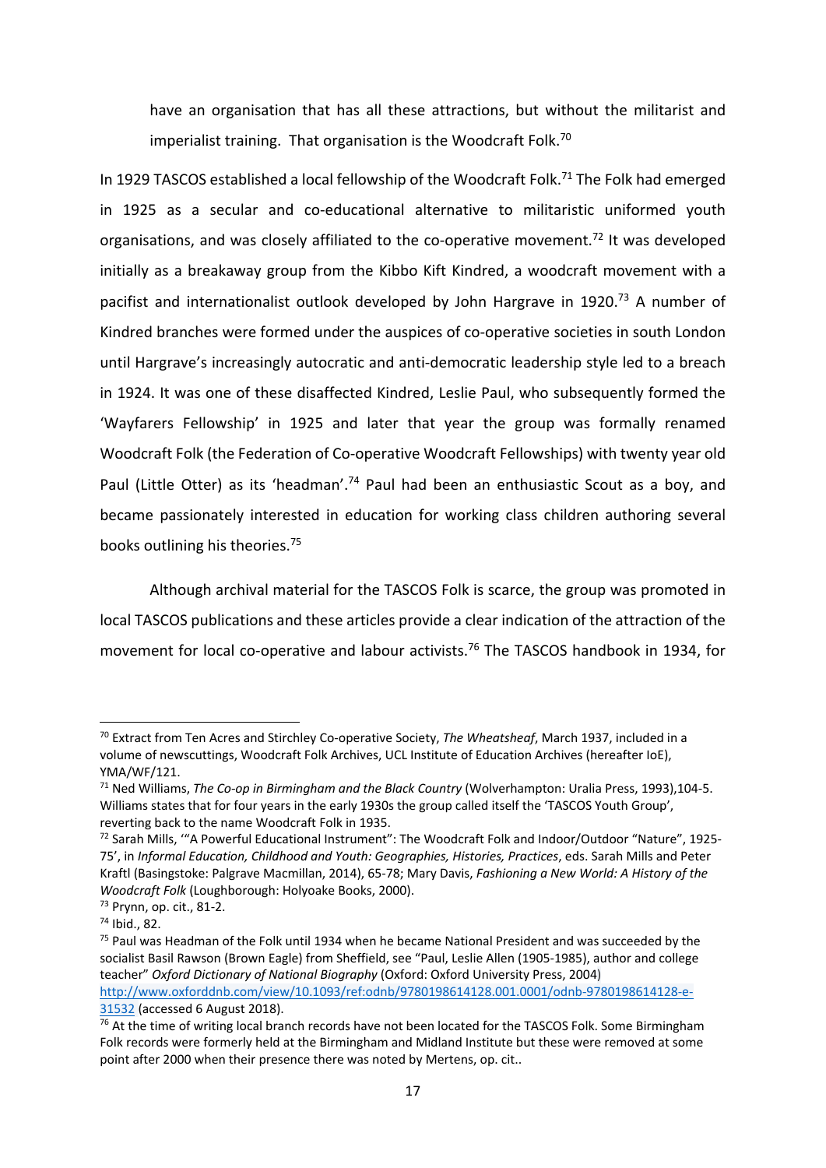have an organisation that has all these attractions, but without the militarist and imperialist training. That organisation is the Woodcraft Folk.<sup>70</sup>

In 1929 TASCOS established a local fellowship of the Woodcraft Folk.<sup>71</sup> The Folk had emerged in 1925 as a secular and co-educational alternative to militaristic uniformed youth organisations, and was closely affiliated to the co‐operative movement.72 It was developed initially as a breakaway group from the Kibbo Kift Kindred, a woodcraft movement with a pacifist and internationalist outlook developed by John Hargrave in 1920.<sup>73</sup> A number of Kindred branches were formed under the auspices of co‐operative societies in south London until Hargrave's increasingly autocratic and anti‐democratic leadership style led to a breach in 1924. It was one of these disaffected Kindred, Leslie Paul, who subsequently formed the 'Wayfarers Fellowship' in 1925 and later that year the group was formally renamed Woodcraft Folk (the Federation of Co‐operative Woodcraft Fellowships) with twenty year old Paul (Little Otter) as its 'headman'.<sup>74</sup> Paul had been an enthusiastic Scout as a boy, and became passionately interested in education for working class children authoring several books outlining his theories.75

Although archival material for the TASCOS Folk is scarce, the group was promoted in local TASCOS publications and these articles provide a clear indication of the attraction of the movement for local co-operative and labour activists.<sup>76</sup> The TASCOS handbook in 1934, for

<sup>70</sup> Extract from Ten Acres and Stirchley Co‐operative Society, *The Wheatsheaf*, March 1937, included in a volume of newscuttings, Woodcraft Folk Archives, UCL Institute of Education Archives (hereafter IoE), YMA/WF/121.

<sup>71</sup> Ned Williams, *The Co‐op in Birmingham and the Black Country* (Wolverhampton: Uralia Press, 1993),104‐5. Williams states that for four years in the early 1930s the group called itself the 'TASCOS Youth Group', reverting back to the name Woodcraft Folk in 1935.

<sup>72</sup> Sarah Mills, ""A Powerful Educational Instrument": The Woodcraft Folk and Indoor/Outdoor "Nature", 1925-75', in *Informal Education, Childhood and Youth: Geographies, Histories, Practices*, eds. Sarah Mills and Peter Kraftl (Basingstoke: Palgrave Macmillan, 2014), 65‐78; Mary Davis, *Fashioning a New World: A History of the Woodcraft Folk* (Loughborough: Holyoake Books, 2000).

<sup>73</sup> Prynn, op. cit., 81‐2.

<sup>74</sup> Ibid., 82.

<sup>&</sup>lt;sup>75</sup> Paul was Headman of the Folk until 1934 when he became National President and was succeeded by the socialist Basil Rawson (Brown Eagle) from Sheffield, see "Paul, Leslie Allen (1905‐1985), author and college teacher" *Oxford Dictionary of National Biography* (Oxford: Oxford University Press, 2004)

http://www.oxforddnb.com/view/10.1093/ref:odnb/9780198614128.001.0001/odnb‐9780198614128‐e‐ 31532 (accessed 6 August 2018).

<sup>&</sup>lt;sup>76</sup> At the time of writing local branch records have not been located for the TASCOS Folk. Some Birmingham Folk records were formerly held at the Birmingham and Midland Institute but these were removed at some point after 2000 when their presence there was noted by Mertens, op. cit..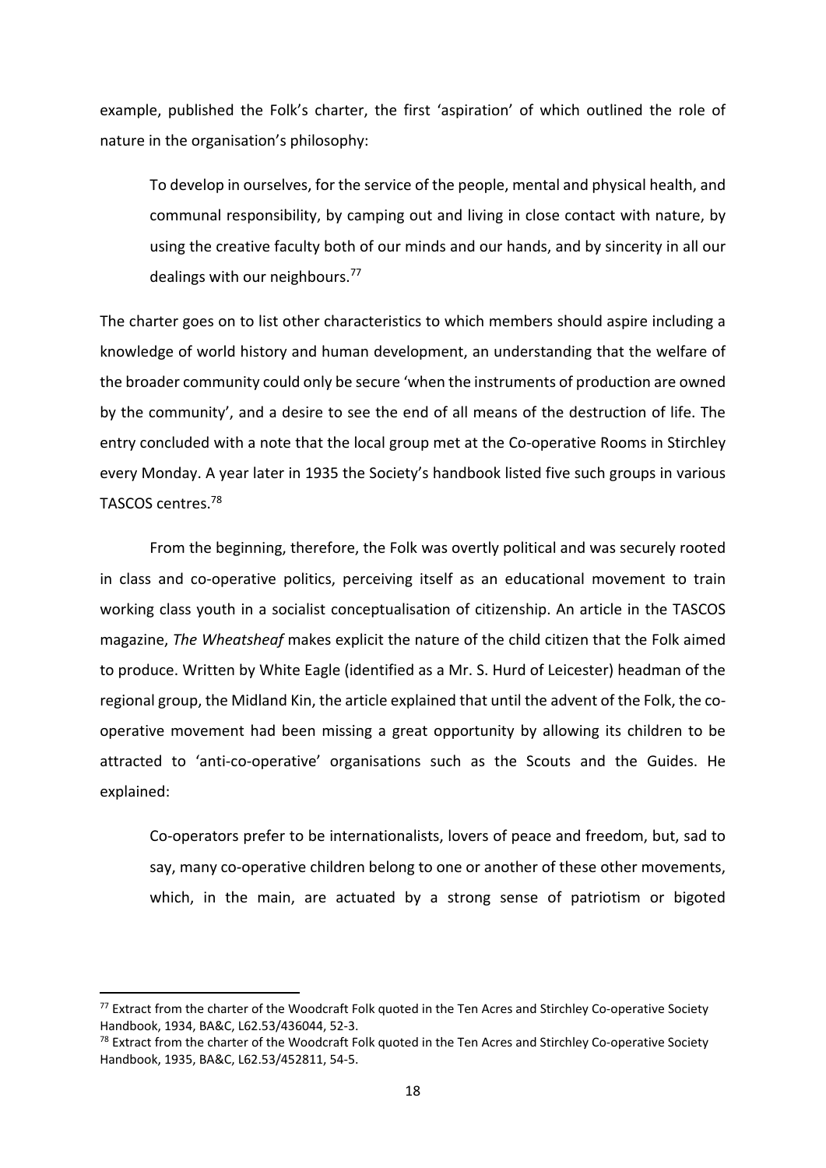example, published the Folk's charter, the first 'aspiration' of which outlined the role of nature in the organisation's philosophy:

To develop in ourselves, for the service of the people, mental and physical health, and communal responsibility, by camping out and living in close contact with nature, by using the creative faculty both of our minds and our hands, and by sincerity in all our dealings with our neighbours.77

The charter goes on to list other characteristics to which members should aspire including a knowledge of world history and human development, an understanding that the welfare of the broader community could only be secure 'when the instruments of production are owned by the community', and a desire to see the end of all means of the destruction of life. The entry concluded with a note that the local group met at the Co-operative Rooms in Stirchley every Monday. A year later in 1935 the Society's handbook listed five such groups in various TASCOS centres.78

From the beginning, therefore, the Folk was overtly political and was securely rooted in class and co-operative politics, perceiving itself as an educational movement to train working class youth in a socialist conceptualisation of citizenship. An article in the TASCOS magazine, *The Wheatsheaf* makes explicit the nature of the child citizen that the Folk aimed to produce. Written by White Eagle (identified as a Mr. S. Hurd of Leicester) headman of the regional group, the Midland Kin, the article explained that until the advent of the Folk, the co‐ operative movement had been missing a great opportunity by allowing its children to be attracted to 'anti-co-operative' organisations such as the Scouts and the Guides. He explained:

Co‐operators prefer to be internationalists, lovers of peace and freedom, but, sad to say, many co-operative children belong to one or another of these other movements, which, in the main, are actuated by a strong sense of patriotism or bigoted

<sup>77</sup> Extract from the charter of the Woodcraft Folk quoted in the Ten Acres and Stirchley Co-operative Society Handbook, 1934, BA&C, L62.53/436044, 52‐3.

<sup>&</sup>lt;sup>78</sup> Extract from the charter of the Woodcraft Folk quoted in the Ten Acres and Stirchley Co-operative Society Handbook, 1935, BA&C, L62.53/452811, 54‐5.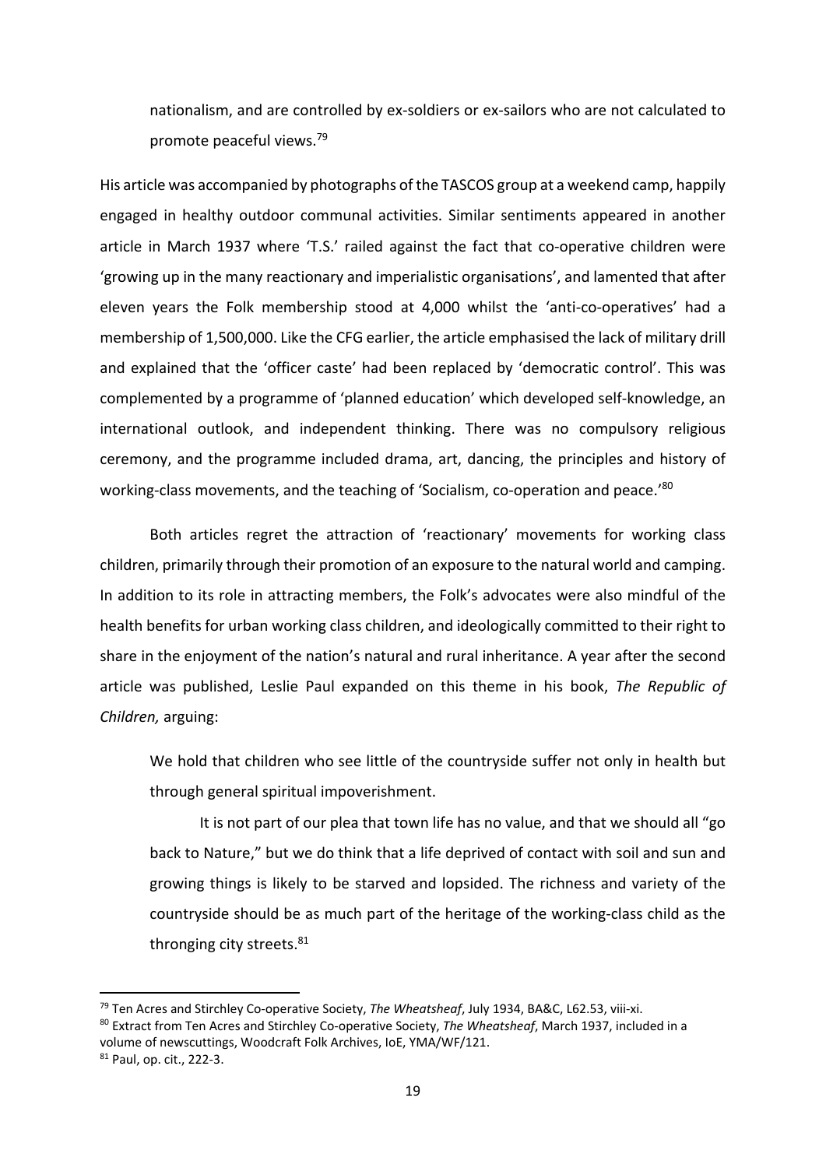nationalism, and are controlled by ex‐soldiers or ex‐sailors who are not calculated to promote peaceful views.79

His article was accompanied by photographs of the TASCOS group at a weekend camp, happily engaged in healthy outdoor communal activities. Similar sentiments appeared in another article in March 1937 where 'T.S.' railed against the fact that co-operative children were 'growing up in the many reactionary and imperialistic organisations', and lamented that after eleven years the Folk membership stood at 4,000 whilst the 'anti-co-operatives' had a membership of 1,500,000. Like the CFG earlier, the article emphasised the lack of military drill and explained that the 'officer caste' had been replaced by 'democratic control'. This was complemented by a programme of 'planned education' which developed self‐knowledge, an international outlook, and independent thinking. There was no compulsory religious ceremony, and the programme included drama, art, dancing, the principles and history of working-class movements, and the teaching of 'Socialism, co-operation and peace.'<sup>80</sup>

Both articles regret the attraction of 'reactionary' movements for working class children, primarily through their promotion of an exposure to the natural world and camping. In addition to its role in attracting members, the Folk's advocates were also mindful of the health benefits for urban working class children, and ideologically committed to their right to share in the enjoyment of the nation's natural and rural inheritance. A year after the second article was published, Leslie Paul expanded on this theme in his book, *The Republic of Children,* arguing:

We hold that children who see little of the countryside suffer not only in health but through general spiritual impoverishment.

It is not part of our plea that town life has no value, and that we should all "go back to Nature," but we do think that a life deprived of contact with soil and sun and growing things is likely to be starved and lopsided. The richness and variety of the countryside should be as much part of the heritage of the working‐class child as the thronging city streets.<sup>81</sup>

<sup>79</sup> Ten Acres and Stirchley Co‐operative Society, *The Wheatsheaf*, July 1934, BA&C, L62.53, viii‐xi.

<sup>80</sup> Extract from Ten Acres and Stirchley Co‐operative Society, *The Wheatsheaf*, March 1937, included in a volume of newscuttings, Woodcraft Folk Archives, IoE, YMA/WF/121.

<sup>81</sup> Paul, op. cit., 222‐3.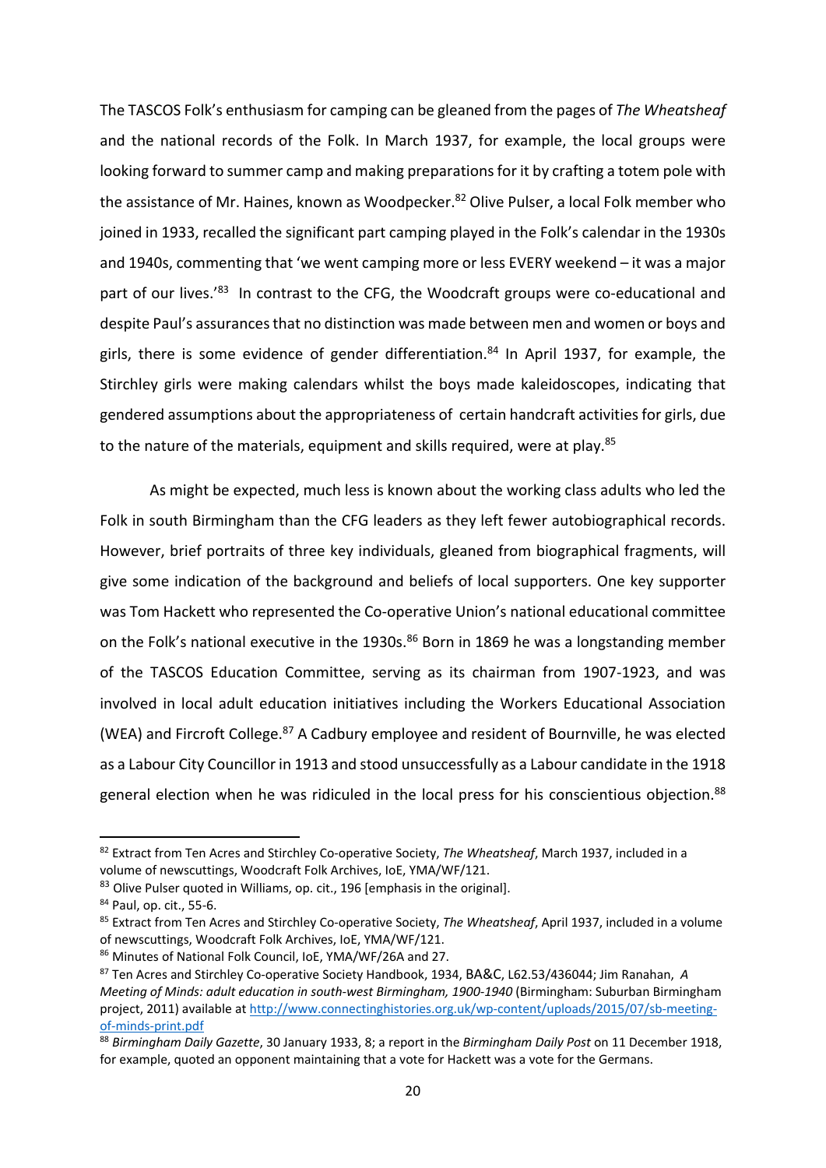The TASCOS Folk's enthusiasm for camping can be gleaned from the pages of *The Wheatsheaf*  and the national records of the Folk. In March 1937, for example, the local groups were looking forward to summer camp and making preparations for it by crafting a totem pole with the assistance of Mr. Haines, known as Woodpecker.<sup>82</sup> Olive Pulser, a local Folk member who joined in 1933, recalled the significant part camping played in the Folk's calendar in the 1930s and 1940s, commenting that 'we went camping more or less EVERY weekend – it was a major part of our lives.'83 In contrast to the CFG, the Woodcraft groups were co-educational and despite Paul's assurances that no distinction was made between men and women or boys and girls, there is some evidence of gender differentiation.<sup>84</sup> In April 1937, for example, the Stirchley girls were making calendars whilst the boys made kaleidoscopes, indicating that gendered assumptions about the appropriateness of certain handcraft activities for girls, due to the nature of the materials, equipment and skills required, were at play.<sup>85</sup>

As might be expected, much less is known about the working class adults who led the Folk in south Birmingham than the CFG leaders as they left fewer autobiographical records. However, brief portraits of three key individuals, gleaned from biographical fragments, will give some indication of the background and beliefs of local supporters. One key supporter was Tom Hackett who represented the Co-operative Union's national educational committee on the Folk's national executive in the 1930s.<sup>86</sup> Born in 1869 he was a longstanding member of the TASCOS Education Committee, serving as its chairman from 1907‐1923, and was involved in local adult education initiatives including the Workers Educational Association (WEA) and Fircroft College.87 A Cadbury employee and resident of Bournville, he was elected as a Labour City Councillor in 1913 and stood unsuccessfully as a Labour candidate in the 1918 general election when he was ridiculed in the local press for his conscientious objection.<sup>88</sup>

<sup>82</sup> Extract from Ten Acres and Stirchley Co-operative Society, *The Wheatsheaf*, March 1937, included in a volume of newscuttings, Woodcraft Folk Archives, IoE, YMA/WF/121.

<sup>&</sup>lt;sup>83</sup> Olive Pulser quoted in Williams, op. cit., 196 [emphasis in the original].

<sup>84</sup> Paul, op. cit., 55‐6.

<sup>85</sup> Extract from Ten Acres and Stirchley Co‐operative Society, *The Wheatsheaf*, April 1937, included in a volume of newscuttings, Woodcraft Folk Archives, IoE, YMA/WF/121.

<sup>86</sup> Minutes of National Folk Council, IoE, YMA/WF/26A and 27.

<sup>87</sup> Ten Acres and Stirchley Co‐operative Society Handbook, 1934, BA&C, L62.53/436044; Jim Ranahan, *A Meeting of Minds: adult education in south‐west Birmingham, 1900‐1940* (Birmingham: Suburban Birmingham project, 2011) available at http://www.connectinghistories.org.uk/wp-content/uploads/2015/07/sb-meetingof‐minds‐print.pdf

<sup>88</sup> *Birmingham Daily Gazette*, 30 January 1933, 8; a report in the *Birmingham Daily Post* on 11 December 1918, for example, quoted an opponent maintaining that a vote for Hackett was a vote for the Germans.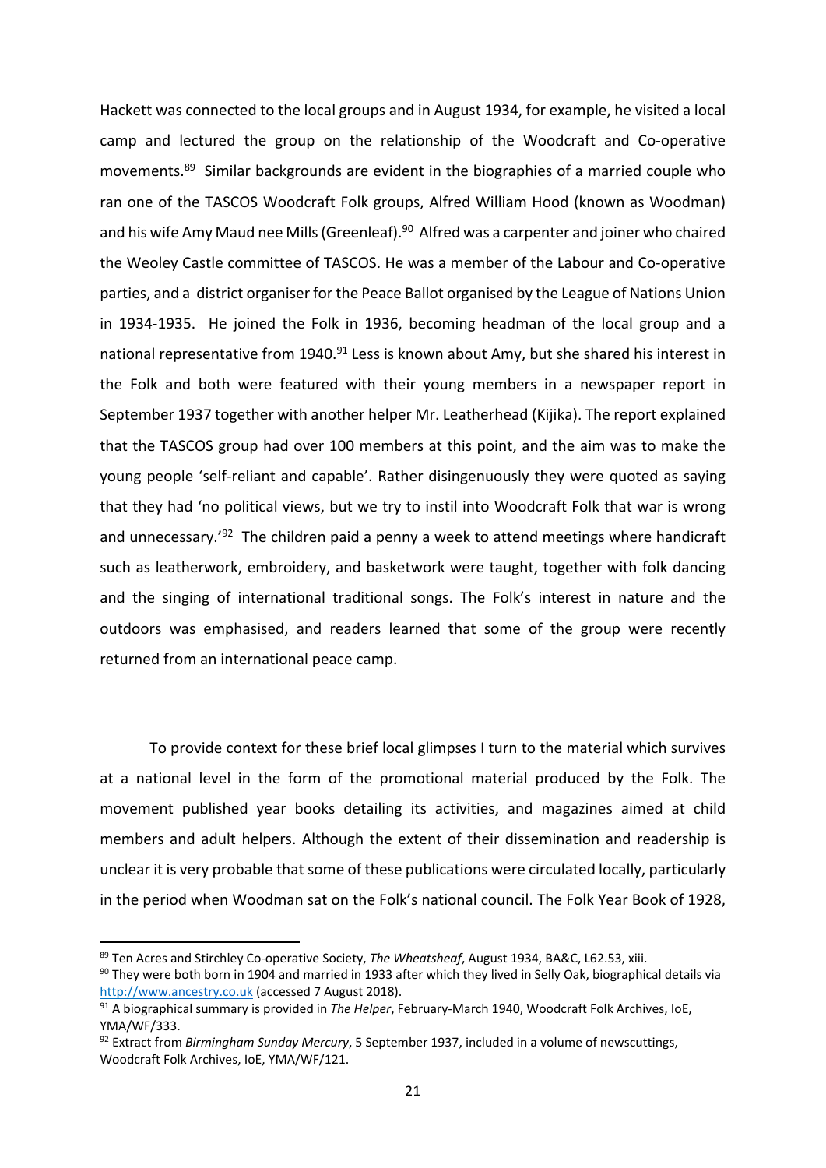Hackett was connected to the local groups and in August 1934, for example, he visited a local camp and lectured the group on the relationship of the Woodcraft and Co-operative movements.89 Similar backgrounds are evident in the biographies of a married couple who ran one of the TASCOS Woodcraft Folk groups, Alfred William Hood (known as Woodman) and his wife Amy Maud nee Mills (Greenleaf).<sup>90</sup> Alfred was a carpenter and joiner who chaired the Weoley Castle committee of TASCOS. He was a member of the Labour and Co‐operative parties, and a district organiser for the Peace Ballot organised by the League of Nations Union in 1934-1935. He joined the Folk in 1936, becoming headman of the local group and a national representative from 1940.<sup>91</sup> Less is known about Amy, but she shared his interest in the Folk and both were featured with their young members in a newspaper report in September 1937 together with another helper Mr. Leatherhead (Kijika). The report explained that the TASCOS group had over 100 members at this point, and the aim was to make the young people 'self‐reliant and capable'. Rather disingenuously they were quoted as saying that they had 'no political views, but we try to instil into Woodcraft Folk that war is wrong and unnecessary.<sup>'92</sup> The children paid a penny a week to attend meetings where handicraft such as leatherwork, embroidery, and basketwork were taught, together with folk dancing and the singing of international traditional songs. The Folk's interest in nature and the outdoors was emphasised, and readers learned that some of the group were recently returned from an international peace camp.

To provide context for these brief local glimpses I turn to the material which survives at a national level in the form of the promotional material produced by the Folk. The movement published year books detailing its activities, and magazines aimed at child members and adult helpers. Although the extent of their dissemination and readership is unclear it is very probable that some of these publications were circulated locally, particularly in the period when Woodman sat on the Folk's national council. The Folk Year Book of 1928,

<sup>89</sup> Ten Acres and Stirchley Co-operative Society, *The Wheatsheaf*, August 1934, BA&C, L62.53, xiii.

 $90$  They were both born in 1904 and married in 1933 after which they lived in Selly Oak, biographical details via http://www.ancestry.co.uk (accessed 7 August 2018).

<sup>91</sup> A biographical summary is provided in *The Helper*, February‐March 1940, Woodcraft Folk Archives, IoE, YMA/WF/333.

<sup>92</sup> Extract from *Birmingham Sunday Mercury*, 5 September 1937, included in a volume of newscuttings, Woodcraft Folk Archives, IoE, YMA/WF/121.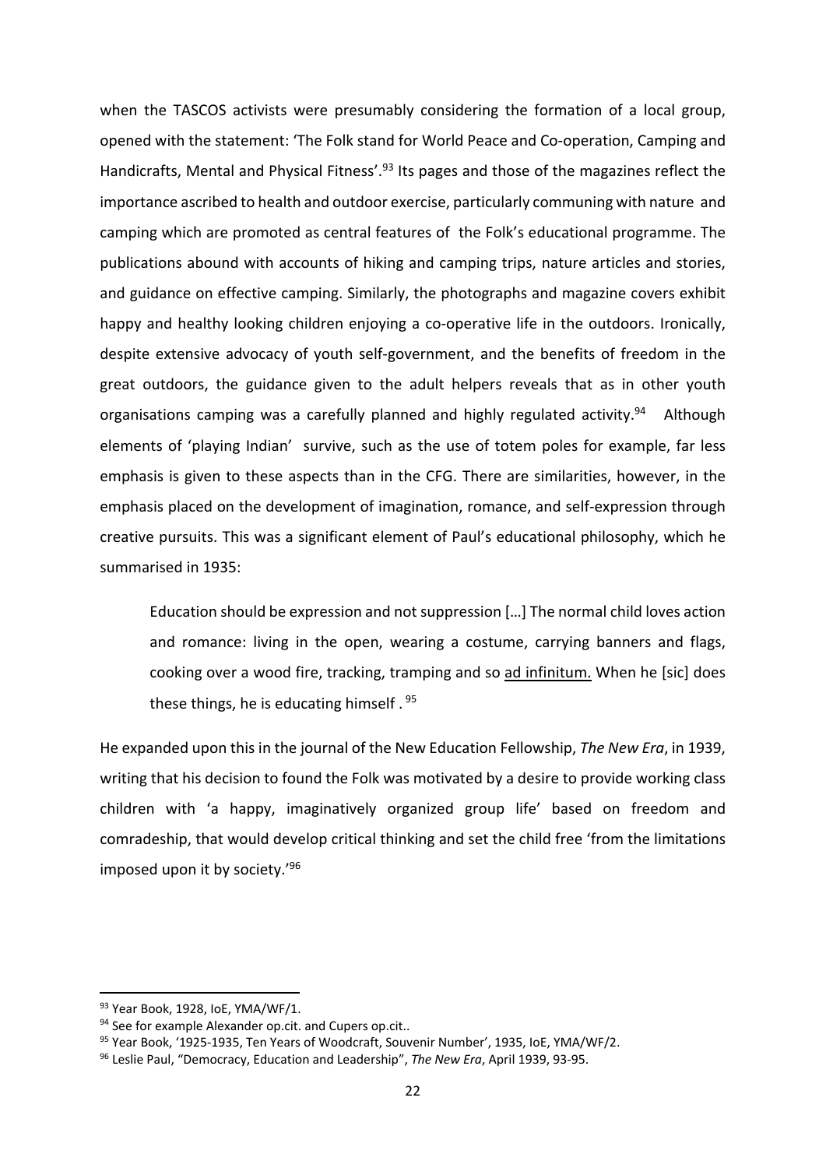when the TASCOS activists were presumably considering the formation of a local group, opened with the statement: 'The Folk stand for World Peace and Co-operation, Camping and Handicrafts, Mental and Physical Fitness'.<sup>93</sup> Its pages and those of the magazines reflect the importance ascribed to health and outdoor exercise, particularly communing with nature and camping which are promoted as central features of the Folk's educational programme. The publications abound with accounts of hiking and camping trips, nature articles and stories, and guidance on effective camping. Similarly, the photographs and magazine covers exhibit happy and healthy looking children enjoying a co-operative life in the outdoors. Ironically, despite extensive advocacy of youth self‐government, and the benefits of freedom in the great outdoors, the guidance given to the adult helpers reveals that as in other youth organisations camping was a carefully planned and highly regulated activity.<sup>94</sup> Although elements of 'playing Indian' survive, such as the use of totem poles for example, far less emphasis is given to these aspects than in the CFG. There are similarities, however, in the emphasis placed on the development of imagination, romance, and self‐expression through creative pursuits. This was a significant element of Paul's educational philosophy, which he summarised in 1935:

Education should be expression and not suppression […] The normal child loves action and romance: living in the open, wearing a costume, carrying banners and flags, cooking over a wood fire, tracking, tramping and so ad infinitum. When he [sic] does these things, he is educating himself . 95

He expanded upon this in the journal of the New Education Fellowship, *The New Era*, in 1939, writing that his decision to found the Folk was motivated by a desire to provide working class children with 'a happy, imaginatively organized group life' based on freedom and comradeship, that would develop critical thinking and set the child free 'from the limitations imposed upon it by society.'96

 93 Year Book, 1928, IoE, YMA/WF/1.

<sup>94</sup> See for example Alexander op.cit. and Cupers op.cit..

<sup>95</sup> Year Book, '1925-1935, Ten Years of Woodcraft, Souvenir Number', 1935, IoE, YMA/WF/2.

<sup>96</sup> Leslie Paul, "Democracy, Education and Leadership", *The New Era*, April 1939, 93‐95.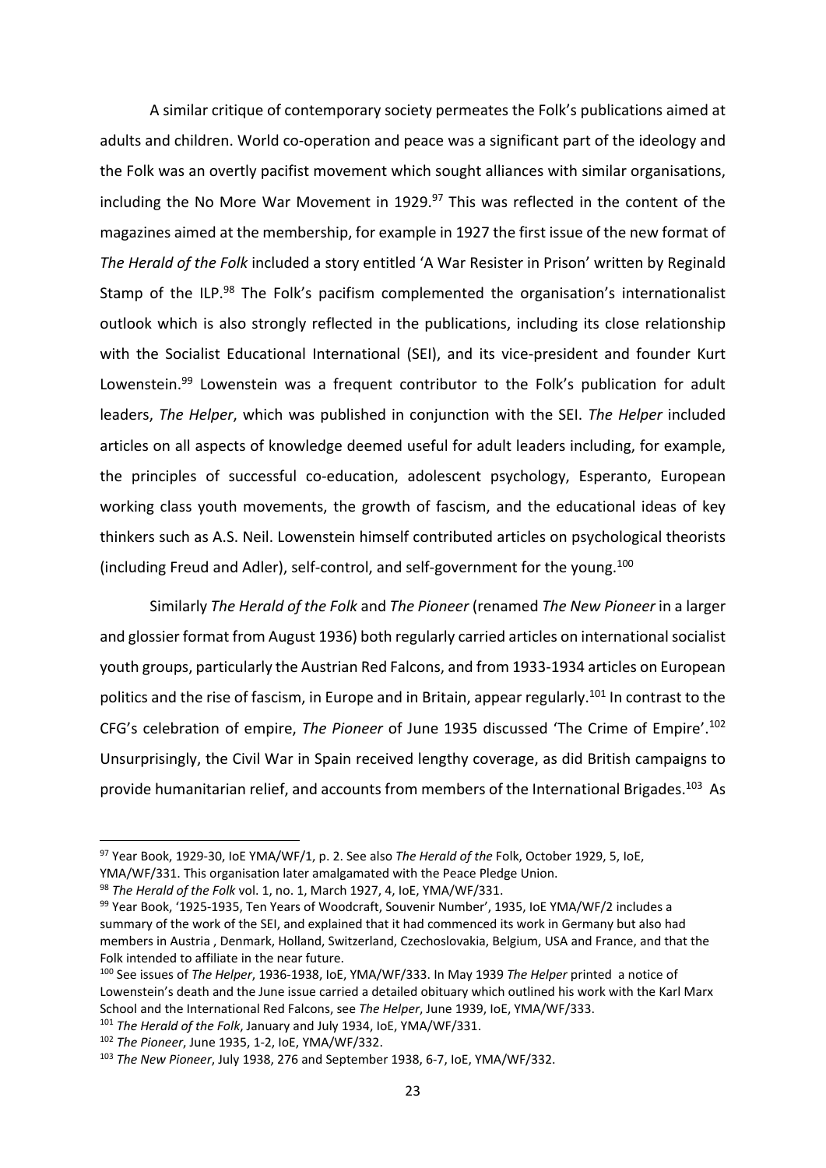A similar critique of contemporary society permeates the Folk's publications aimed at adults and children. World co-operation and peace was a significant part of the ideology and the Folk was an overtly pacifist movement which sought alliances with similar organisations, including the No More War Movement in 1929.<sup>97</sup> This was reflected in the content of the magazines aimed at the membership, for example in 1927 the first issue of the new format of *The Herald of the Folk* included a story entitled 'A War Resister in Prison' written by Reginald Stamp of the ILP.<sup>98</sup> The Folk's pacifism complemented the organisation's internationalist outlook which is also strongly reflected in the publications, including its close relationship with the Socialist Educational International (SEI), and its vice-president and founder Kurt Lowenstein.<sup>99</sup> Lowenstein was a frequent contributor to the Folk's publication for adult leaders, *The Helper*, which was published in conjunction with the SEI. *The Helper* included articles on all aspects of knowledge deemed useful for adult leaders including, for example, the principles of successful co-education, adolescent psychology, Esperanto, European working class youth movements, the growth of fascism, and the educational ideas of key thinkers such as A.S. Neil. Lowenstein himself contributed articles on psychological theorists (including Freud and Adler), self‐control, and self‐government for the young.100

Similarly *The Herald of the Folk* and *The Pioneer* (renamed *The New Pioneer* in a larger and glossier format from August 1936) both regularly carried articles on international socialist youth groups, particularly the Austrian Red Falcons, and from 1933‐1934 articles on European politics and the rise of fascism, in Europe and in Britain, appear regularly.<sup>101</sup> In contrast to the CFG's celebration of empire, *The Pioneer* of June 1935 discussed 'The Crime of Empire'.102 Unsurprisingly, the Civil War in Spain received lengthy coverage, as did British campaigns to provide humanitarian relief, and accounts from members of the International Brigades.<sup>103</sup> As

<sup>97</sup> Year Book, 1929‐30, IoE YMA/WF/1, p. 2. See also *The Herald of the* Folk, October 1929, 5, IoE,

YMA/WF/331. This organisation later amalgamated with the Peace Pledge Union.

<sup>98</sup> *The Herald of the Folk* vol. 1, no. 1, March 1927, 4, IoE, YMA/WF/331.

<sup>99</sup> Year Book, '1925-1935, Ten Years of Woodcraft, Souvenir Number', 1935, IoE YMA/WF/2 includes a summary of the work of the SEI, and explained that it had commenced its work in Germany but also had members in Austria , Denmark, Holland, Switzerland, Czechoslovakia, Belgium, USA and France, and that the Folk intended to affiliate in the near future.

<sup>100</sup> See issues of *The Helper*, 1936‐1938, IoE, YMA/WF/333. In May 1939 *The Helper* printed a notice of Lowenstein's death and the June issue carried a detailed obituary which outlined his work with the Karl Marx School and the International Red Falcons, see *The Helper*, June 1939, IoE, YMA/WF/333.

<sup>101</sup> *The Herald of the Folk*, January and July 1934, IoE, YMA/WF/331.

<sup>102</sup> *The Pioneer*, June 1935, 1‐2, IoE, YMA/WF/332.

<sup>103</sup> *The New Pioneer*, July 1938, 276 and September 1938, 6‐7, IoE, YMA/WF/332.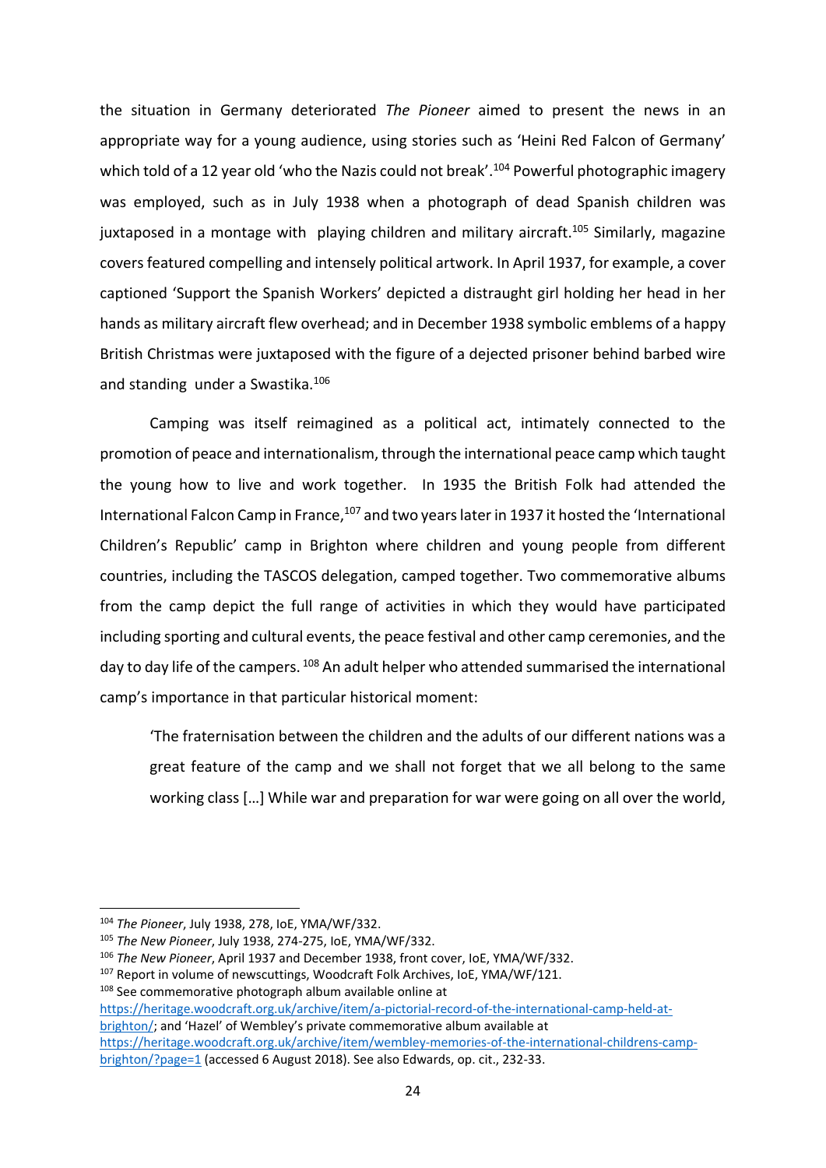the situation in Germany deteriorated The Pioneer aimed to present the news in an appropriate way for a young audience, using stories such as 'Heini Red Falcon of Germany' which told of a 12 year old 'who the Nazis could not break'.<sup>104</sup> Powerful photographic imagery was employed, such as in July 1938 when a photograph of dead Spanish children was juxtaposed in a montage with playing children and military aircraft.<sup>105</sup> Similarly, magazine covers featured compelling and intensely political artwork. In April 1937, for example, a cover captioned 'Support the Spanish Workers' depicted a distraught girl holding her head in her hands as military aircraft flew overhead; and in December 1938 symbolic emblems of a happy British Christmas were juxtaposed with the figure of a dejected prisoner behind barbed wire and standing under a Swastika.<sup>106</sup>

Camping was itself reimagined as a political act, intimately connected to the promotion of peace and internationalism, through the international peace camp which taught the young how to live and work together. In 1935 the British Folk had attended the International Falcon Camp in France,<sup>107</sup> and two years later in 1937 it hosted the 'International Children's Republic' camp in Brighton where children and young people from different countries, including the TASCOS delegation, camped together. Two commemorative albums from the camp depict the full range of activities in which they would have participated including sporting and cultural events, the peace festival and other camp ceremonies, and the day to day life of the campers. 108 An adult helper who attended summarised the international camp's importance in that particular historical moment:

'The fraternisation between the children and the adults of our different nations was a great feature of the camp and we shall not forget that we all belong to the same working class […] While war and preparation for war were going on all over the world,

https://heritage.woodcraft.org.uk/archive/item/a‐pictorial‐record‐of‐the‐international‐camp‐held‐at‐ brighton/; and 'Hazel' of Wembley's private commemorative album available at https://heritage.woodcraft.org.uk/archive/item/wembley-memories-of-the-international-childrens-campbrighton/?page=1 (accessed 6 August 2018). See also Edwards, op. cit., 232‐33.

<sup>104</sup> *The Pioneer*, July 1938, 278, IoE, YMA/WF/332.

<sup>105</sup> *The New Pioneer*, July 1938, 274‐275, IoE, YMA/WF/332.

<sup>106</sup> *The New Pioneer*, April 1937 and December 1938, front cover, IoE, YMA/WF/332.

<sup>&</sup>lt;sup>107</sup> Report in volume of newscuttings, Woodcraft Folk Archives, IoE, YMA/WF/121.

<sup>108</sup> See commemorative photograph album available online at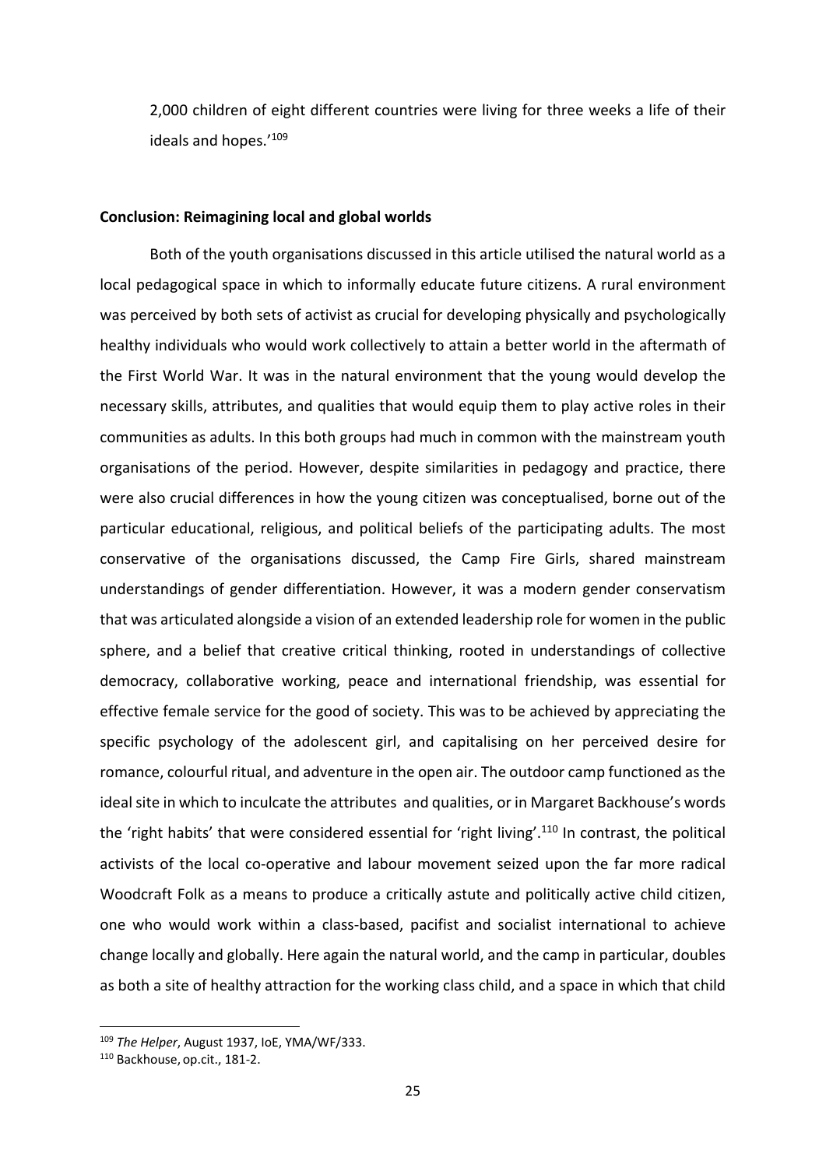2,000 children of eight different countries were living for three weeks a life of their ideals and hopes.'<sup>109</sup>

#### **Conclusion: Reimagining local and global worlds**

Both of the youth organisations discussed in this article utilised the natural world as a local pedagogical space in which to informally educate future citizens. A rural environment was perceived by both sets of activist as crucial for developing physically and psychologically healthy individuals who would work collectively to attain a better world in the aftermath of the First World War. It was in the natural environment that the young would develop the necessary skills, attributes, and qualities that would equip them to play active roles in their communities as adults. In this both groups had much in common with the mainstream youth organisations of the period. However, despite similarities in pedagogy and practice, there were also crucial differences in how the young citizen was conceptualised, borne out of the particular educational, religious, and political beliefs of the participating adults. The most conservative of the organisations discussed, the Camp Fire Girls, shared mainstream understandings of gender differentiation. However, it was a modern gender conservatism that was articulated alongside a vision of an extended leadership role for women in the public sphere, and a belief that creative critical thinking, rooted in understandings of collective democracy, collaborative working, peace and international friendship, was essential for effective female service for the good of society. This was to be achieved by appreciating the specific psychology of the adolescent girl, and capitalising on her perceived desire for romance, colourful ritual, and adventure in the open air. The outdoor camp functioned as the ideal site in which to inculcate the attributes and qualities, or in Margaret Backhouse's words the 'right habits' that were considered essential for 'right living'.110 In contrast, the political activists of the local co-operative and labour movement seized upon the far more radical Woodcraft Folk as a means to produce a critically astute and politically active child citizen, one who would work within a class‐based, pacifist and socialist international to achieve change locally and globally. Here again the natural world, and the camp in particular, doubles as both a site of healthy attraction for the working class child, and a space in which that child

<sup>109</sup> *The Helper*, August 1937, IoE, YMA/WF/333.

<sup>110</sup> Backhouse, op.cit., 181‐2.